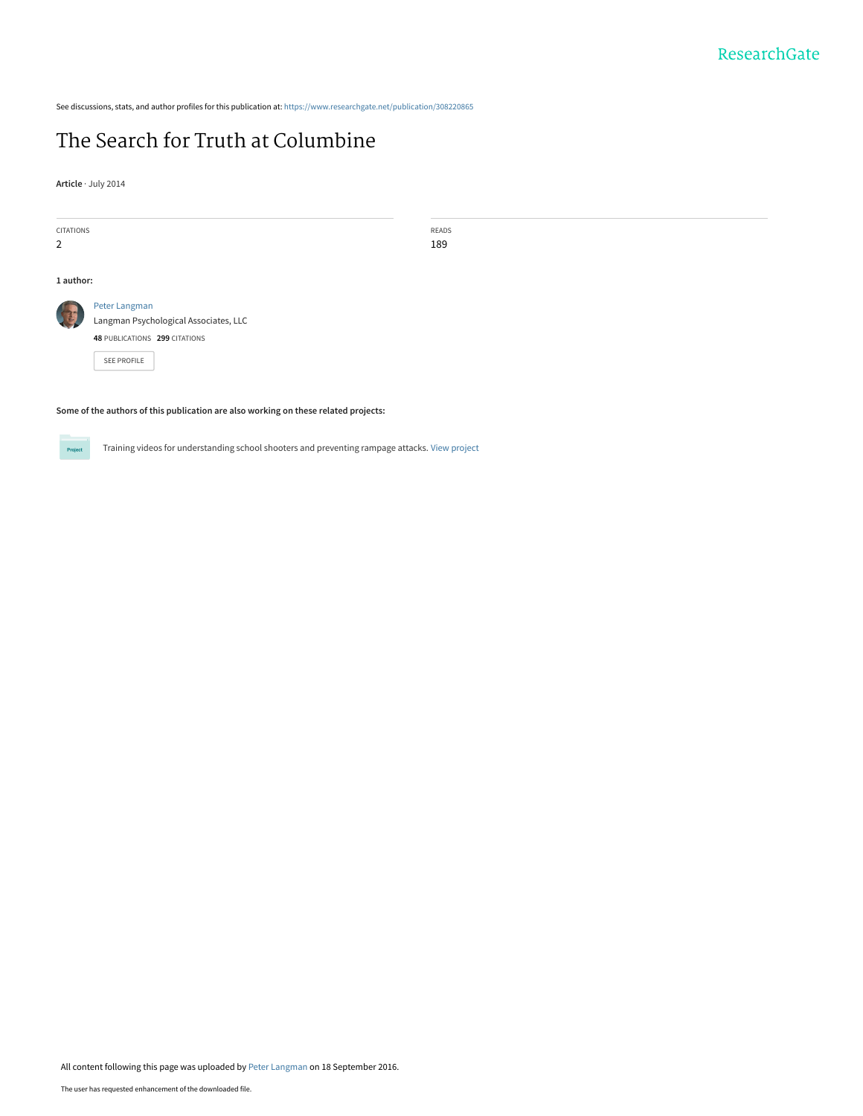See discussions, stats, and author profiles for this publication at: [https://www.researchgate.net/publication/308220865](https://www.researchgate.net/publication/308220865_The_Search_for_Truth_at_Columbine?enrichId=rgreq-298803514bfeabd12c6928e3061c3193-XXX&enrichSource=Y292ZXJQYWdlOzMwODIyMDg2NTtBUzo0MDc3MTIyNDk3MjkwMjVAMTQ3NDIxNzU4MzU0Mw%3D%3D&el=1_x_2&_esc=publicationCoverPdf)

# [The Search for Truth at Columbine](https://www.researchgate.net/publication/308220865_The_Search_for_Truth_at_Columbine?enrichId=rgreq-298803514bfeabd12c6928e3061c3193-XXX&enrichSource=Y292ZXJQYWdlOzMwODIyMDg2NTtBUzo0MDc3MTIyNDk3MjkwMjVAMTQ3NDIxNzU4MzU0Mw%3D%3D&el=1_x_3&_esc=publicationCoverPdf)

**Article** · July 2014

| CITATIONS |                                                                                                        | READS |
|-----------|--------------------------------------------------------------------------------------------------------|-------|
| 2         |                                                                                                        | 189   |
|           |                                                                                                        |       |
| 1 author: |                                                                                                        |       |
|           | Peter Langman<br>Langman Psychological Associates, LLC<br>48 PUBLICATIONS 299 CITATIONS<br>SEE PROFILE |       |
|           |                                                                                                        |       |

**Some of the authors of this publication are also working on these related projects:**



Training videos for understanding school shooters and preventing rampage attacks. [View project](https://www.researchgate.net/project/Training-videos-for-understanding-school-shooters-and-preventing-rampage-attacks?enrichId=rgreq-298803514bfeabd12c6928e3061c3193-XXX&enrichSource=Y292ZXJQYWdlOzMwODIyMDg2NTtBUzo0MDc3MTIyNDk3MjkwMjVAMTQ3NDIxNzU4MzU0Mw%3D%3D&el=1_x_9&_esc=publicationCoverPdf)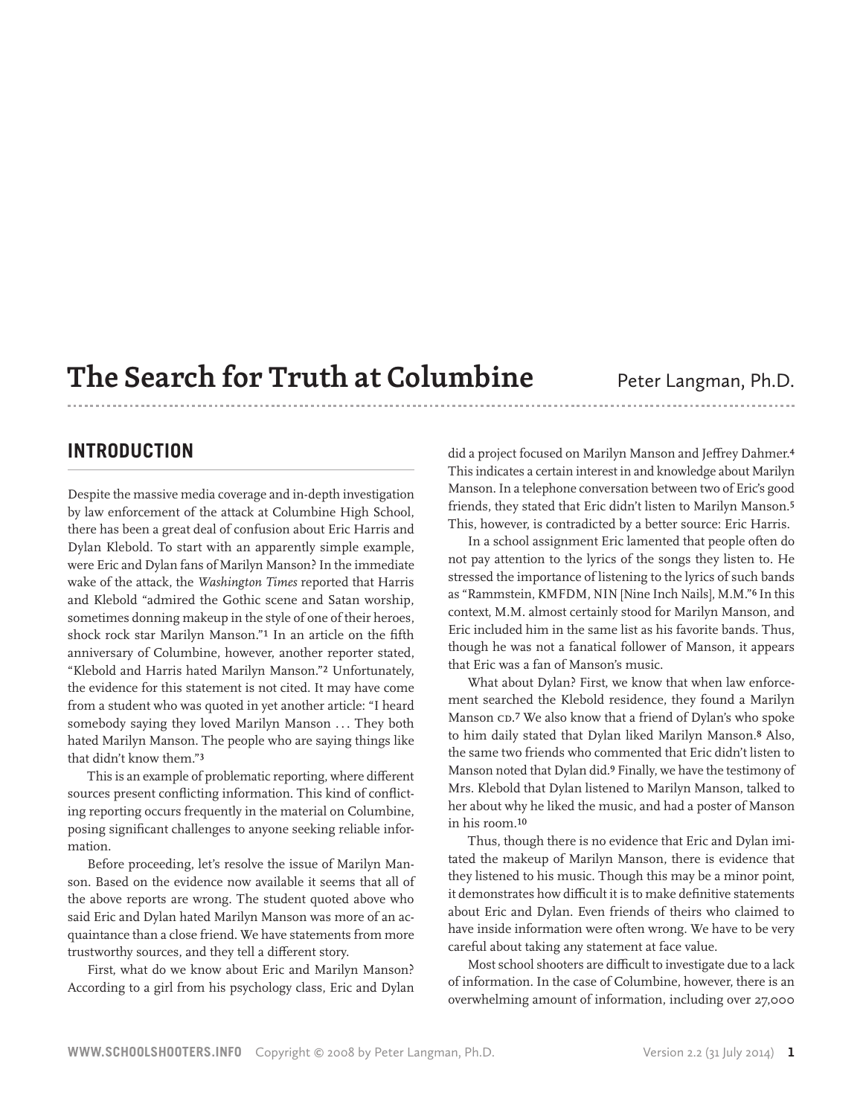# **The Search for Truth at Columbine** Peter Langman, Ph.D.

# **Introduction**

Despite the massive media coverage and in-depth investigation by law enforcement of the attack at Columbine High School, there has been a great deal of confusion about Eric Harris and Dylan Klebold. To start with an apparently simple example, were Eric and Dylan fans of Marilyn Manson? In the immediate wake of the attack, the *Washington Times* reported that Harris and Klebold "admired the Gothic scene and Satan worship, sometimes donning makeup in the style of one of their heroes, shock rock star Marilyn Manson."1 In an article on the fifth anniversary of Columbine, however, another reporter stated, "Klebold and Harris hated Marilyn Manson."2 Unfortunately, the evidence for this statement is not cited. It may have come from a student who was quoted in yet another article: "I heard somebody saying they loved Marilyn Manson ... They both hated Marilyn Manson. The people who are saying things like that didn't know them."3

This is an example of problematic reporting, where different sources present conflicting information. This kind of conflicting reporting occurs frequently in the material on Columbine, posing significant challenges to anyone seeking reliable information.

Before proceeding, let's resolve the issue of Marilyn Manson. Based on the evidence now available it seems that all of the above reports are wrong. The student quoted above who said Eric and Dylan hated Marilyn Manson was more of an acquaintance than a close friend. We have statements from more trustworthy sources, and they tell a different story.

First, what do we know about Eric and Marilyn Manson? According to a girl from his psychology class, Eric and Dylan did a project focused on Marilyn Manson and Jeffrey Dahmer.4 This indicates a certain interest in and knowledge about Marilyn Manson. In a telephone conversation between two of Eric's good friends, they stated that Eric didn't listen to Marilyn Manson.5 This, however, is contradicted by a better source: Eric Harris.

In a school assignment Eric lamented that people often do not pay attention to the lyrics of the songs they listen to. He stressed the importance of listening to the lyrics of such bands as "Rammstein, KMFDM, NIN [Nine Inch Nails], M.M."6 In this context, M.M. almost certainly stood for Marilyn Manson, and Eric included him in the same list as his favorite bands. Thus, though he was not a fanatical follower of Manson, it appears that Eric was a fan of Manson's music.

What about Dylan? First, we know that when law enforcement searched the Klebold residence, they found a Marilyn Manson CD.7 We also know that a friend of Dylan's who spoke to him daily stated that Dylan liked Marilyn Manson.8 Also, the same two friends who commented that Eric didn't listen to Manson noted that Dylan did.9 Finally, we have the testimony of Mrs. Klebold that Dylan listened to Marilyn Manson, talked to her about why he liked the music, and had a poster of Manson in his room.10

Thus, though there is no evidence that Eric and Dylan imitated the makeup of Marilyn Manson, there is evidence that they listened to his music. Though this may be a minor point, it demonstrates how difficult it is to make definitive statements about Eric and Dylan. Even friends of theirs who claimed to have inside information were often wrong. We have to be very careful about taking any statement at face value.

Most school shooters are difficult to investigate due to a lack of information. In the case of Columbine, however, there is an overwhelming amount of information, including over 27,000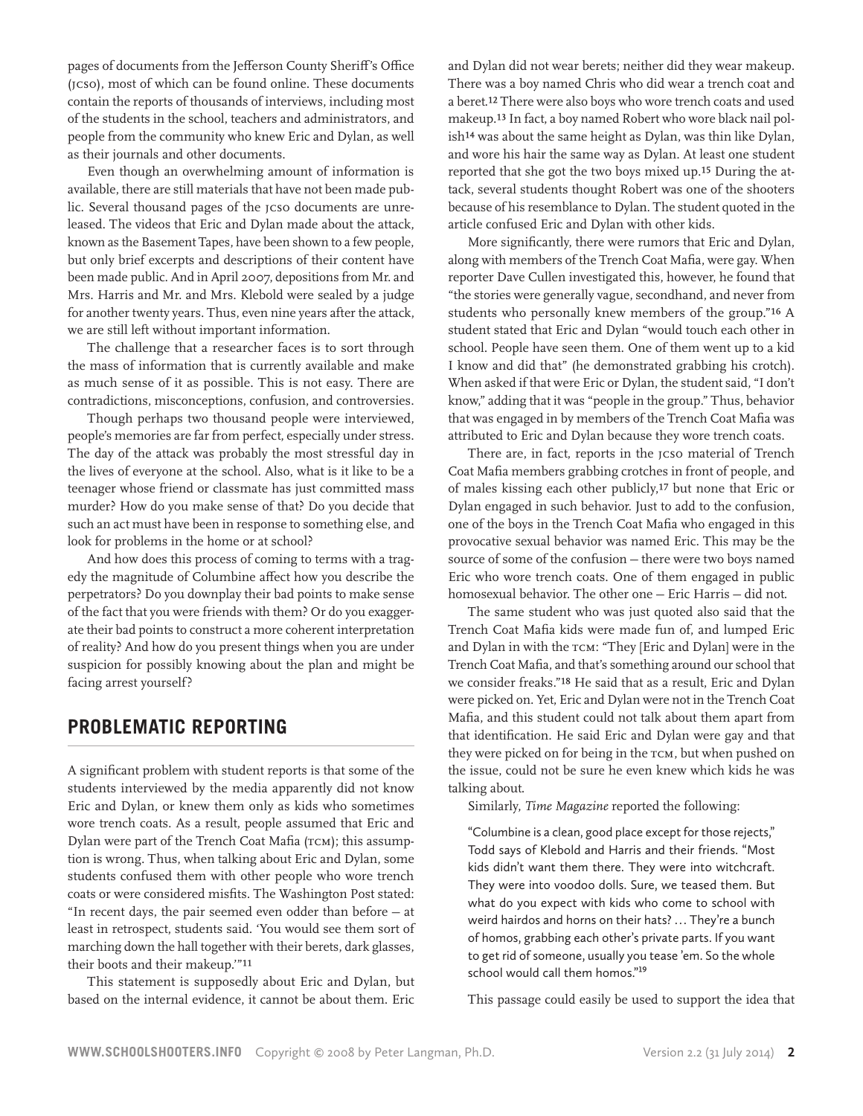pages of documents from the Jefferson County Sheriff's Office (JCSO), most of which can be found online. These documents contain the reports of thousands of interviews, including most of the students in the school, teachers and administrators, and people from the community who knew Eric and Dylan, as well as their journals and other documents.

Even though an overwhelming amount of information is available, there are still materials that have not been made public. Several thousand pages of the JCSO documents are unreleased. The videos that Eric and Dylan made about the attack, known as the Basement Tapes, have been shown to a few people, but only brief excerpts and descriptions of their content have been made public. And in April 2007, depositions from Mr. and Mrs. Harris and Mr. and Mrs. Klebold were sealed by a judge for another twenty years. Thus, even nine years after the attack, we are still left without important information.

The challenge that a researcher faces is to sort through the mass of information that is currently available and make as much sense of it as possible. This is not easy. There are contradictions, misconceptions, confusion, and controversies.

Though perhaps two thousand people were interviewed, people's memories are far from perfect, especially under stress. The day of the attack was probably the most stressful day in the lives of everyone at the school. Also, what is it like to be a teenager whose friend or classmate has just committed mass murder? How do you make sense of that? Do you decide that such an act must have been in response to something else, and look for problems in the home or at school?

And how does this process of coming to terms with a tragedy the magnitude of Columbine affect how you describe the perpetrators? Do you downplay their bad points to make sense of the fact that you were friends with them? Or do you exaggerate their bad points to construct a more coherent interpretation of reality? And how do you present things when you are under suspicion for possibly knowing about the plan and might be facing arrest yourself?

# **Problematic Reporting**

A significant problem with student reports is that some of the students interviewed by the media apparently did not know Eric and Dylan, or knew them only as kids who sometimes wore trench coats. As a result, people assumed that Eric and Dylan were part of the Trench Coat Mafia (тсм); this assumption is wrong. Thus, when talking about Eric and Dylan, some students confused them with other people who wore trench coats or were considered misfits. The Washington Post stated: "In recent days, the pair seemed even odder than before — at least in retrospect, students said. 'You would see them sort of marching down the hall together with their berets, dark glasses, their boots and their makeup.'"11

This statement is supposedly about Eric and Dylan, but based on the internal evidence, it cannot be about them. Eric

and Dylan did not wear berets; neither did they wear makeup. There was a boy named Chris who did wear a trench coat and a beret.12 There were also boys who wore trench coats and used makeup.13 In fact, a boy named Robert who wore black nail polish14 was about the same height as Dylan, was thin like Dylan, and wore his hair the same way as Dylan. At least one student reported that she got the two boys mixed up.15 During the attack, several students thought Robert was one of the shooters because of his resemblance to Dylan. The student quoted in the article confused Eric and Dylan with other kids.

More significantly, there were rumors that Eric and Dylan, along with members of the Trench Coat Mafia, were gay. When reporter Dave Cullen investigated this, however, he found that "the stories were generally vague, secondhand, and never from students who personally knew members of the group."16 A student stated that Eric and Dylan "would touch each other in school. People have seen them. One of them went up to a kid I know and did that" (he demonstrated grabbing his crotch). When asked if that were Eric or Dylan, the student said, "I don't know," adding that it was "people in the group." Thus, behavior that was engaged in by members of the Trench Coat Mafia was attributed to Eric and Dylan because they wore trench coats.

There are, in fact, reports in the JCSO material of Trench Coat Mafia members grabbing crotches in front of people, and of males kissing each other publicly,17 but none that Eric or Dylan engaged in such behavior. Just to add to the confusion, one of the boys in the Trench Coat Mafia who engaged in this provocative sexual behavior was named Eric. This may be the source of some of the confusion — there were two boys named Eric who wore trench coats. One of them engaged in public homosexual behavior. The other one — Eric Harris — did not.

The same student who was just quoted also said that the Trench Coat Mafia kids were made fun of, and lumped Eric and Dylan in with the TCM: "They [Eric and Dylan] were in the Trench Coat Mafia, and that's something around our school that we consider freaks."18 He said that as a result, Eric and Dylan were picked on. Yet, Eric and Dylan were not in the Trench Coat Mafia, and this student could not talk about them apart from that identification. He said Eric and Dylan were gay and that they were picked on for being in the TCM, but when pushed on the issue, could not be sure he even knew which kids he was talking about.

Similarly, *Time Magazine* reported the following:

"Columbine is a clean, good place except for those rejects," Todd says of Klebold and Harris and their friends. "Most kids didn't want them there. They were into witchcraft. They were into voodoo dolls. Sure, we teased them. But what do you expect with kids who come to school with weird hairdos and horns on their hats? ... They're a bunch of homos, grabbing each other's private parts. If you want to get rid of someone, usually you tease 'em. So the whole school would call them homos."<sup>19</sup>

This passage could easily be used to support the idea that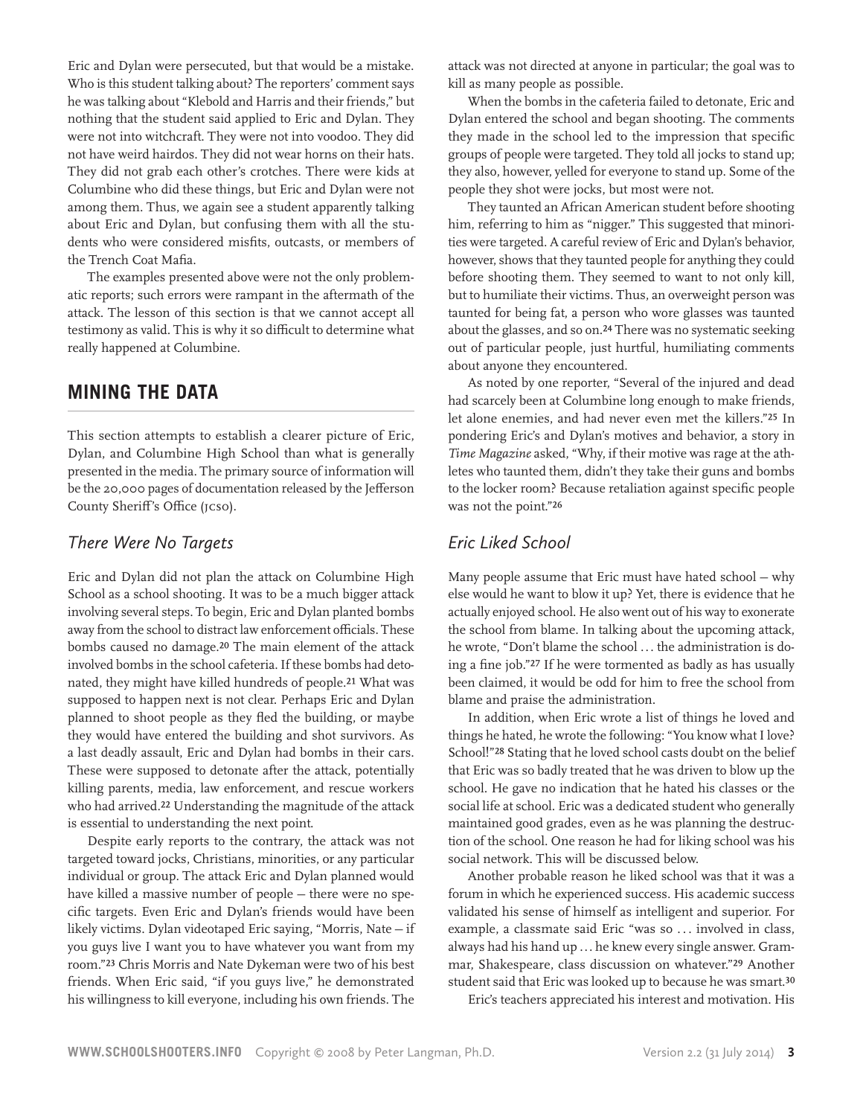Eric and Dylan were persecuted, but that would be a mistake. Who is this student talking about? The reporters' comment says he was talking about "Klebold and Harris and their friends," but nothing that the student said applied to Eric and Dylan. They were not into witchcraft. They were not into voodoo. They did not have weird hairdos. They did not wear horns on their hats. They did not grab each other's crotches. There were kids at Columbine who did these things, but Eric and Dylan were not among them. Thus, we again see a student apparently talking about Eric and Dylan, but confusing them with all the students who were considered misfits, outcasts, or members of the Trench Coat Mafia.

The examples presented above were not the only problematic reports; such errors were rampant in the aftermath of the attack. The lesson of this section is that we cannot accept all testimony as valid. This is why it so difficult to determine what really happened at Columbine.

# **Mining the Data**

This section attempts to establish a clearer picture of Eric, Dylan, and Columbine High School than what is generally presented in the media. The primary source of information will be the 20,000 pages of documentation released by the Jefferson County Sheriff's Office (JCSO).

### *There Were No Targets*

Eric and Dylan did not plan the attack on Columbine High School as a school shooting. It was to be a much bigger attack involving several steps. To begin, Eric and Dylan planted bombs away from the school to distract law enforcement officials. These bombs caused no damage.20 The main element of the attack involved bombs in the school cafeteria. If these bombs had detonated, they might have killed hundreds of people.21 What was supposed to happen next is not clear. Perhaps Eric and Dylan planned to shoot people as they fled the building, or maybe they would have entered the building and shot survivors. As a last deadly assault, Eric and Dylan had bombs in their cars. These were supposed to detonate after the attack, potentially killing parents, media, law enforcement, and rescue workers who had arrived.22 Understanding the magnitude of the attack is essential to understanding the next point.

Despite early reports to the contrary, the attack was not targeted toward jocks, Christians, minorities, or any particular individual or group. The attack Eric and Dylan planned would have killed a massive number of people — there were no specific targets. Even Eric and Dylan's friends would have been likely victims. Dylan videotaped Eric saying, "Morris, Nate — if you guys live I want you to have whatever you want from my room."23 Chris Morris and Nate Dykeman were two of his best friends. When Eric said, "if you guys live," he demonstrated his willingness to kill everyone, including his own friends. The attack was not directed at anyone in particular; the goal was to kill as many people as possible.

When the bombs in the cafeteria failed to detonate, Eric and Dylan entered the school and began shooting. The comments they made in the school led to the impression that specific groups of people were targeted. They told all jocks to stand up; they also, however, yelled for everyone to stand up. Some of the people they shot were jocks, but most were not.

They taunted an African American student before shooting him, referring to him as "nigger." This suggested that minorities were targeted. A careful review of Eric and Dylan's behavior, however, shows that they taunted people for anything they could before shooting them. They seemed to want to not only kill, but to humiliate their victims. Thus, an overweight person was taunted for being fat, a person who wore glasses was taunted about the glasses, and so on.24 There was no systematic seeking out of particular people, just hurtful, humiliating comments about anyone they encountered.

As noted by one reporter, "Several of the injured and dead had scarcely been at Columbine long enough to make friends, let alone enemies, and had never even met the killers."25 In pondering Eric's and Dylan's motives and behavior, a story in *Time Magazine* asked, "Why, if their motive was rage at the athletes who taunted them, didn't they take their guns and bombs to the locker room? Because retaliation against specific people was not the point."26

## *Eric Liked School*

Many people assume that Eric must have hated school — why else would he want to blow it up? Yet, there is evidence that he actually enjoyed school. He also went out of his way to exonerate the school from blame. In talking about the upcoming attack, he wrote, "Don't blame the school ... the administration is doing a fine job."27 If he were tormented as badly as has usually been claimed, it would be odd for him to free the school from blame and praise the administration.

In addition, when Eric wrote a list of things he loved and things he hated, he wrote the following: "You know what I love? School!"28 Stating that he loved school casts doubt on the belief that Eric was so badly treated that he was driven to blow up the school. He gave no indication that he hated his classes or the social life at school. Eric was a dedicated student who generally maintained good grades, even as he was planning the destruction of the school. One reason he had for liking school was his social network. This will be discussed below.

Another probable reason he liked school was that it was a forum in which he experienced success. His academic success validated his sense of himself as intelligent and superior. For example, a classmate said Eric "was so ... involved in class, always had his hand up ... he knew every single answer. Grammar, Shakespeare, class discussion on whatever."29 Another student said that Eric was looked up to because he was smart.30

Eric's teachers appreciated his interest and motivation. His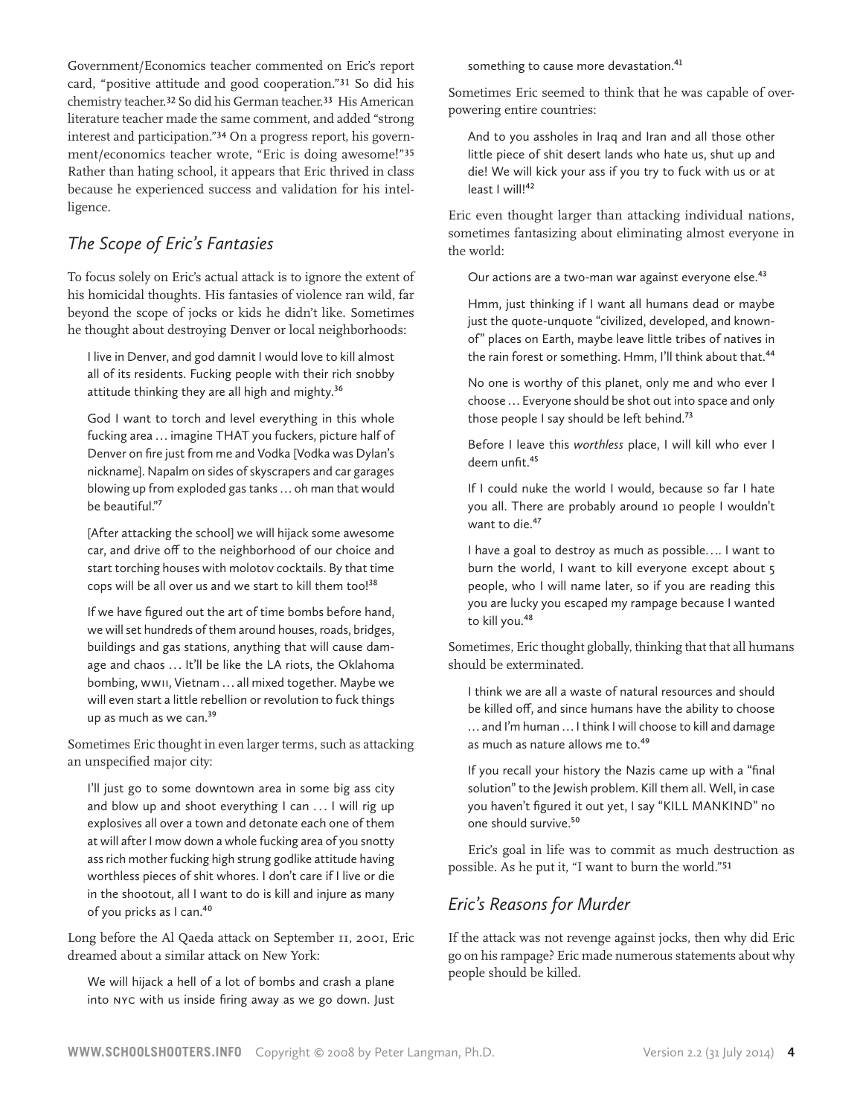Government/Economics teacher commented on Eric's report card, "positive attitude and good cooperation."31 So did his chemistry teacher.32 So did his German teacher.33 His American literature teacher made the same comment, and added "strong interest and participation."34 On a progress report, his government/economics teacher wrote, "Eric is doing awesome!"35 Rather than hating school, it appears that Eric thrived in class because he experienced success and validation for his intelligence.

# *The Scope of Eric's Fantasies*

To focus solely on Eric's actual attack is to ignore the extent of his homicidal thoughts. His fantasies of violence ran wild, far beyond the scope of jocks or kids he didn't like. Sometimes he thought about destroying Denver or local neighborhoods:

I live in Denver, and god damnit I would love to kill almost all of its residents. Fucking people with their rich snobby attitude thinking they are all high and mighty.<sup>36</sup>

God I want to torch and level everything in this whole fucking area ... imagine THAT you fuckers, picture half of Denver on fire just from me and Vodka [Vodka was Dylan's nickname]. Napalm on sides of skyscrapers and car garages blowing up from exploded gas tanks ... oh man that would be beautiful."7

[After attacking the school] we will hijack some awesome car, and drive off to the neighborhood of our choice and start torching houses with molotov cocktails. By that time cops will be all over us and we start to kill them too!<sup>38</sup>

If we have figured out the art of time bombs before hand, we will set hundreds of them around houses, roads, bridges, buildings and gas stations, anything that will cause damage and chaos ... It'll be like the LA riots, the Oklahoma bombing, WWII, Vietnam ... all mixed together. Maybe we will even start a little rebellion or revolution to fuck things up as much as we can.<sup>39</sup>

Sometimes Eric thought in even larger terms, such as attacking an unspecified major city:

I'll just go to some downtown area in some big ass city and blow up and shoot everything I can ... I will rig up explosives all over a town and detonate each one of them at will after I mow down a whole fucking area of you snotty ass rich mother fucking high strung godlike attitude having worthless pieces of shit whores. I don't care if I live or die in the shootout, all I want to do is kill and injure as many of you pricks as I can.40

Long before the Al Qaeda attack on September 11, 2001, Eric dreamed about a similar attack on New York:

We will hijack a hell of a lot of bombs and crash a plane into NYC with us inside firing away as we go down. Just something to cause more devastation.<sup>41</sup>

Sometimes Eric seemed to think that he was capable of overpowering entire countries:

And to you assholes in Iraq and Iran and all those other little piece of shit desert lands who hate us, shut up and die! We will kick your ass if you try to fuck with us or at least I will!<sup>42</sup>

Eric even thought larger than attacking individual nations, sometimes fantasizing about eliminating almost everyone in the world:

Our actions are a two-man war against everyone else.<sup>43</sup>

Hmm, just thinking if I want all humans dead or maybe just the quote-unquote "civilized, developed, and knownof" places on Earth, maybe leave little tribes of natives in the rain forest or something. Hmm, I'll think about that.<sup>44</sup>

No one is worthy of this planet, only me and who ever I choose ... Everyone should be shot out into space and only those people I say should be left behind.<sup>73</sup>

Before I leave this *worthless* place, I will kill who ever I deem unfit.<sup>45</sup>

If I could nuke the world I would, because so far I hate you all. There are probably around 10 people I wouldn't want to die.<sup>47</sup>

I have a goal to destroy as much as possible. . .. I want to burn the world, I want to kill everyone except about 5 people, who I will name later, so if you are reading this you are lucky you escaped my rampage because I wanted to kill you.<sup>48</sup>

Sometimes, Eric thought globally, thinking that that all humans should be exterminated.

I think we are all a waste of natural resources and should be killed off, and since humans have the ability to choose ... and I'm human ... I think I will choose to kill and damage as much as nature allows me to.<sup>49</sup>

If you recall your history the Nazis came up with a "final solution" to the Jewish problem. Kill them all. Well, in case you haven't figured it out yet, I say "KILL MANKIND" no one should survive.<sup>50</sup>

Eric's goal in life was to commit as much destruction as possible. As he put it, "I want to burn the world."51

## *Eric's Reasons for Murder*

If the attack was not revenge against jocks, then why did Eric go on his rampage? Eric made numerous statements about why people should be killed.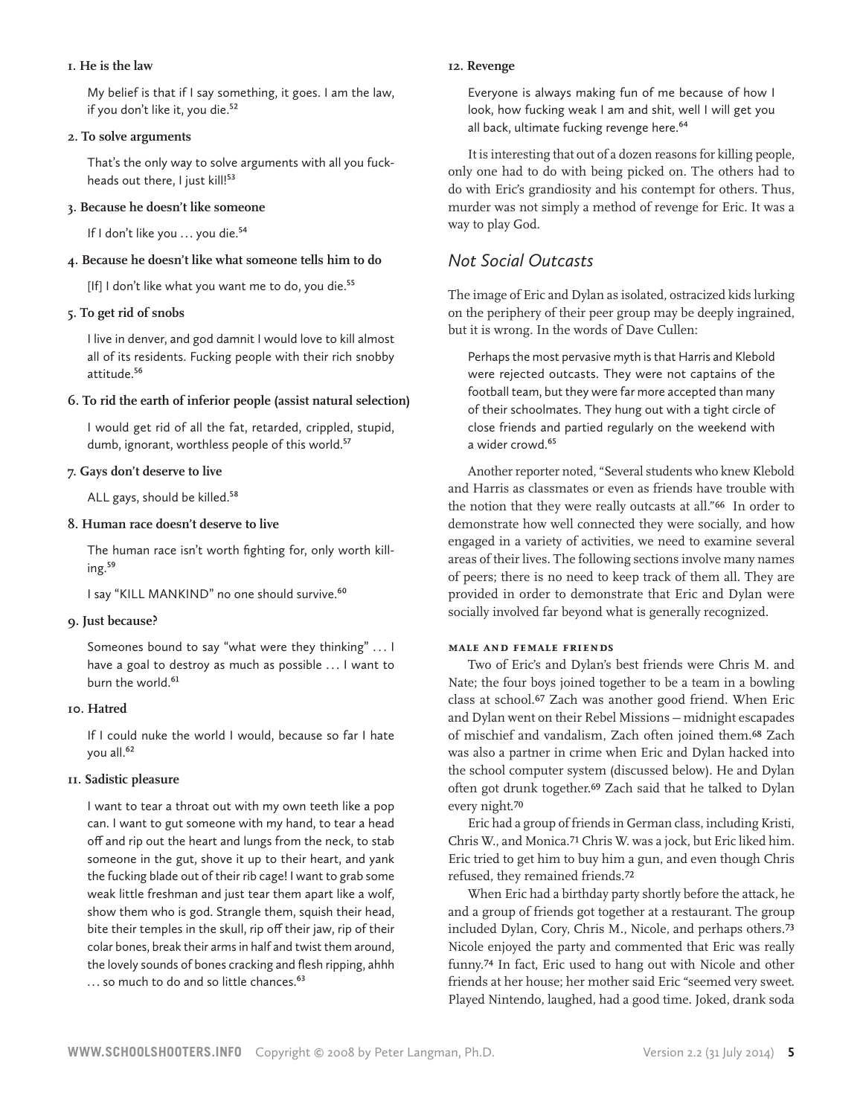#### **1. He is the law**

My belief is that if I say something, it goes. I am the law, if you don't like it, you die.<sup>52</sup>

#### **2. To solve arguments**

That's the only way to solve arguments with all you fuckheads out there, I just kill!<sup>53</sup>

#### **3. Because he doesn't like someone**

If I don't like you ... you die.<sup>54</sup>

### **4. Because he doesn't like what someone tells him to do**

[If] I don't like what you want me to do, you die.<sup>55</sup>

### **5. To get rid of snobs**

I live in denver, and god damnit I would love to kill almost all of its residents. Fucking people with their rich snobby attitude.56

### **6. To rid the earth of inferior people (assist natural selection)**

I would get rid of all the fat, retarded, crippled, stupid, dumb, ignorant, worthless people of this world.<sup>57</sup>

### **7. Gays don't deserve to live**

ALL gays, should be killed.<sup>58</sup>

### **8. Human race doesn't deserve to live**

The human race isn't worth fighting for, only worth killing.59

I say "KILL MANKIND" no one should survive.<sup>60</sup>

### **9. Just because?**

Someones bound to say "what were they thinking" . . . I have a goal to destroy as much as possible ... I want to burn the world.<sup>61</sup>

### **10. Hatred**

If I could nuke the world I would, because so far I hate you all.<sup>62</sup>

### **11. Sadistic pleasure**

I want to tear a throat out with my own teeth like a pop can. I want to gut someone with my hand, to tear a head off and rip out the heart and lungs from the neck, to stab someone in the gut, shove it up to their heart, and yank the fucking blade out of their rib cage! I want to grab some weak little freshman and just tear them apart like a wolf, show them who is god. Strangle them, squish their head, bite their temples in the skull, rip off their jaw, rip of their colar bones, break their arms in half and twist them around, the lovely sounds of bones cracking and flesh ripping, ahhh ... so much to do and so little chances.<sup>63</sup>

#### **12. Revenge**

Everyone is always making fun of me because of how I look, how fucking weak I am and shit, well I will get you all back, ultimate fucking revenge here.<sup>64</sup>

It is interesting that out of a dozen reasons for killing people, only one had to do with being picked on. The others had to do with Eric's grandiosity and his contempt for others. Thus, murder was not simply a method of revenge for Eric. It was a way to play God.

# *Not Social Outcasts*

The image of Eric and Dylan as isolated, ostracized kids lurking on the periphery of their peer group may be deeply ingrained, but it is wrong. In the words of Dave Cullen:

Perhaps the most pervasive myth is that Harris and Klebold were rejected outcasts. They were not captains of the football team, but they were far more accepted than many of their schoolmates. They hung out with a tight circle of close friends and partied regularly on the weekend with a wider crowd.<sup>65</sup>

Another reporter noted, "Several students who knew Klebold and Harris as classmates or even as friends have trouble with the notion that they were really outcasts at all."66 In order to demonstrate how well connected they were socially, and how engaged in a variety of activities, we need to examine several areas of their lives. The following sections involve many names of peers; there is no need to keep track of them all. They are provided in order to demonstrate that Eric and Dylan were socially involved far beyond what is generally recognized.

### **Male and female friends**

Two of Eric's and Dylan's best friends were Chris M. and Nate; the four boys joined together to be a team in a bowling class at school.67 Zach was another good friend. When Eric and Dylan went on their Rebel Missions — midnight escapades of mischief and vandalism, Zach often joined them.68 Zach was also a partner in crime when Eric and Dylan hacked into the school computer system (discussed below). He and Dylan often got drunk together.69 Zach said that he talked to Dylan every night.70

Eric had a group of friends in German class, including Kristi, Chris W., and Monica.71 Chris W. was a jock, but Eric liked him. Eric tried to get him to buy him a gun, and even though Chris refused, they remained friends.72

When Eric had a birthday party shortly before the attack, he and a group of friends got together at a restaurant. The group included Dylan, Cory, Chris M., Nicole, and perhaps others.73 Nicole enjoyed the party and commented that Eric was really funny.74 In fact, Eric used to hang out with Nicole and other friends at her house; her mother said Eric "seemed very sweet. Played Nintendo, laughed, had a good time. Joked, drank soda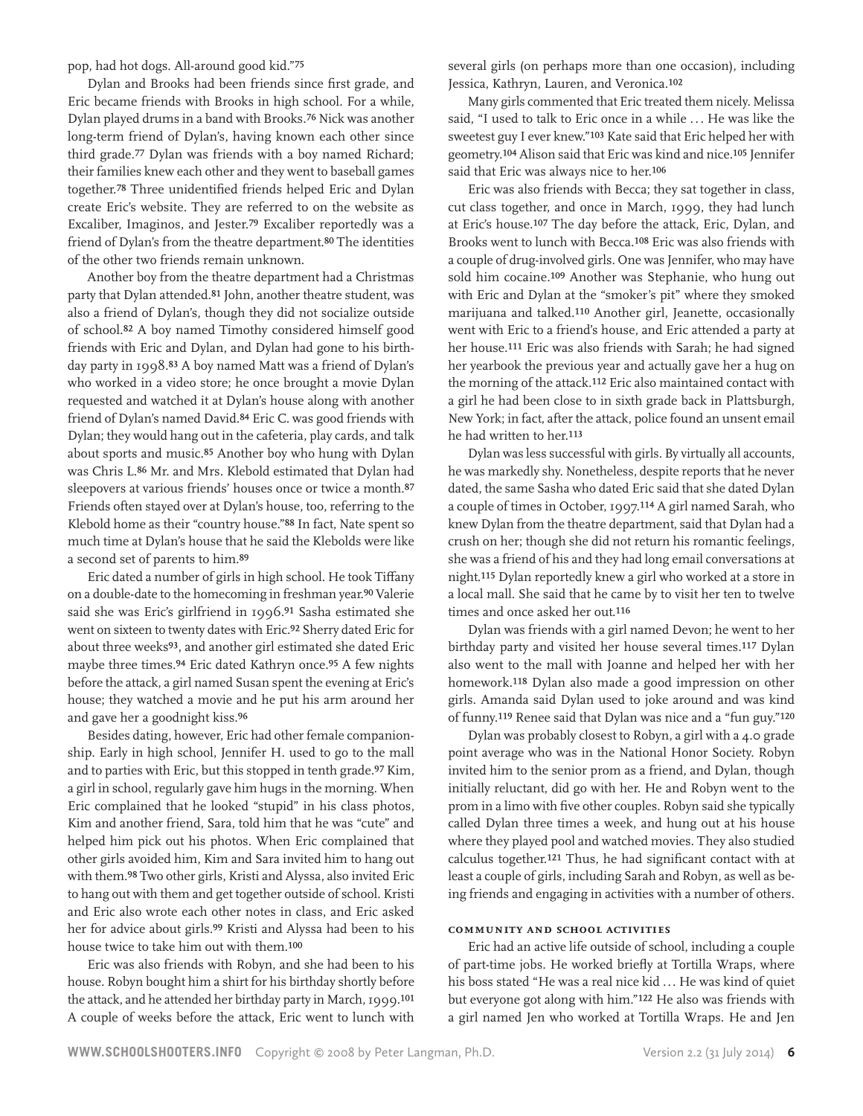pop, had hot dogs. All-around good kid."75

Dylan and Brooks had been friends since first grade, and Eric became friends with Brooks in high school. For a while, Dylan played drums in a band with Brooks.76 Nick was another long-term friend of Dylan's, having known each other since third grade.77 Dylan was friends with a boy named Richard; their families knew each other and they went to baseball games together.78 Three unidentified friends helped Eric and Dylan create Eric's website. They are referred to on the website as Excaliber, Imaginos, and Jester.79 Excaliber reportedly was a friend of Dylan's from the theatre department.<sup>80</sup> The identities of the other two friends remain unknown.

Another boy from the theatre department had a Christmas party that Dylan attended.81 John, another theatre student, was also a friend of Dylan's, though they did not socialize outside of school.82 A boy named Timothy considered himself good friends with Eric and Dylan, and Dylan had gone to his birthday party in 1998.83 A boy named Matt was a friend of Dylan's who worked in a video store; he once brought a movie Dylan requested and watched it at Dylan's house along with another friend of Dylan's named David.84 Eric C. was good friends with Dylan; they would hang out in the cafeteria, play cards, and talk about sports and music.85 Another boy who hung with Dylan was Chris L.86 Mr. and Mrs. Klebold estimated that Dylan had sleepovers at various friends' houses once or twice a month.87 Friends often stayed over at Dylan's house, too, referring to the Klebold home as their "country house."88 In fact, Nate spent so much time at Dylan's house that he said the Klebolds were like a second set of parents to him.89

Eric dated a number of girls in high school. He took Tiffany on a double-date to the homecoming in freshman year.90 Valerie said she was Eric's girlfriend in 1996.91 Sasha estimated she went on sixteen to twenty dates with Eric.92 Sherry dated Eric for about three weeks93, and another girl estimated she dated Eric maybe three times.94 Eric dated Kathryn once.95 A few nights before the attack, a girl named Susan spent the evening at Eric's house; they watched a movie and he put his arm around her and gave her a goodnight kiss.96

Besides dating, however, Eric had other female companionship. Early in high school, Jennifer H. used to go to the mall and to parties with Eric, but this stopped in tenth grade.97 Kim, a girl in school, regularly gave him hugs in the morning. When Eric complained that he looked "stupid" in his class photos, Kim and another friend, Sara, told him that he was "cute" and helped him pick out his photos. When Eric complained that other girls avoided him, Kim and Sara invited him to hang out with them.98 Two other girls, Kristi and Alyssa, also invited Eric to hang out with them and get together outside of school. Kristi and Eric also wrote each other notes in class, and Eric asked her for advice about girls.99 Kristi and Alyssa had been to his house twice to take him out with them.100

Eric was also friends with Robyn, and she had been to his house. Robyn bought him a shirt for his birthday shortly before the attack, and he attended her birthday party in March, 1999.101 A couple of weeks before the attack, Eric went to lunch with

several girls (on perhaps more than one occasion), including Jessica, Kathryn, Lauren, and Veronica.102

Many girls commented that Eric treated them nicely. Melissa said, "I used to talk to Eric once in a while ... He was like the sweetest guy I ever knew."103 Kate said that Eric helped her with geometry.104 Alison said that Eric was kind and nice.105 Jennifer said that Eric was always nice to her.106

Eric was also friends with Becca; they sat together in class, cut class together, and once in March, 1999, they had lunch at Eric's house.107 The day before the attack, Eric, Dylan, and Brooks went to lunch with Becca.108 Eric was also friends with a couple of drug-involved girls. One was Jennifer, who may have sold him cocaine.109 Another was Stephanie, who hung out with Eric and Dylan at the "smoker's pit" where they smoked marijuana and talked.110 Another girl, Jeanette, occasionally went with Eric to a friend's house, and Eric attended a party at her house.111 Eric was also friends with Sarah; he had signed her yearbook the previous year and actually gave her a hug on the morning of the attack.112 Eric also maintained contact with a girl he had been close to in sixth grade back in Plattsburgh, New York; in fact, after the attack, police found an unsent email he had written to her.113

Dylan was less successful with girls. By virtually all accounts, he was markedly shy. Nonetheless, despite reports that he never dated, the same Sasha who dated Eric said that she dated Dylan a couple of times in October, 1997.114 A girl named Sarah, who knew Dylan from the theatre department, said that Dylan had a crush on her; though she did not return his romantic feelings, she was a friend of his and they had long email conversations at night.115 Dylan reportedly knew a girl who worked at a store in a local mall. She said that he came by to visit her ten to twelve times and once asked her out.116

Dylan was friends with a girl named Devon; he went to her birthday party and visited her house several times.117 Dylan also went to the mall with Joanne and helped her with her homework.118 Dylan also made a good impression on other girls. Amanda said Dylan used to joke around and was kind of funny.119 Renee said that Dylan was nice and a "fun guy."120

Dylan was probably closest to Robyn, a girl with a 4.0 grade point average who was in the National Honor Society. Robyn invited him to the senior prom as a friend, and Dylan, though initially reluctant, did go with her. He and Robyn went to the prom in a limo with five other couples. Robyn said she typically called Dylan three times a week, and hung out at his house where they played pool and watched movies. They also studied calculus together.121 Thus, he had significant contact with at least a couple of girls, including Sarah and Robyn, as well as being friends and engaging in activities with a number of others.

#### **Community and school activities**

Eric had an active life outside of school, including a couple of part-time jobs. He worked briefly at Tortilla Wraps, where his boss stated "He was a real nice kid ... He was kind of quiet but everyone got along with him."122 He also was friends with a girl named Jen who worked at Tortilla Wraps. He and Jen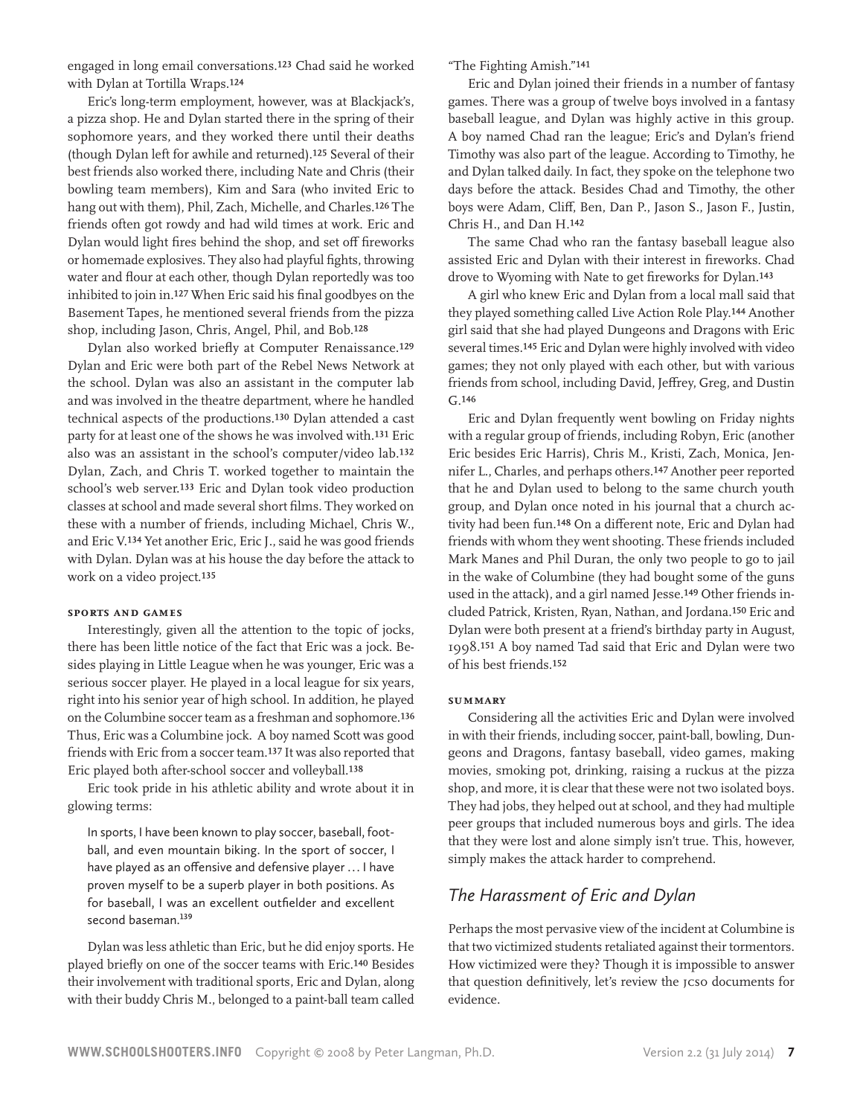engaged in long email conversations.123 Chad said he worked with Dylan at Tortilla Wraps.124

Eric's long-term employment, however, was at Blackjack's, a pizza shop. He and Dylan started there in the spring of their sophomore years, and they worked there until their deaths (though Dylan left for awhile and returned).125 Several of their best friends also worked there, including Nate and Chris (their bowling team members), Kim and Sara (who invited Eric to hang out with them), Phil, Zach, Michelle, and Charles.126 The friends often got rowdy and had wild times at work. Eric and Dylan would light fires behind the shop, and set off fireworks or homemade explosives. They also had playful fights, throwing water and flour at each other, though Dylan reportedly was too inhibited to join in.127 When Eric said his final goodbyes on the Basement Tapes, he mentioned several friends from the pizza shop, including Jason, Chris, Angel, Phil, and Bob.128

Dylan also worked briefly at Computer Renaissance.129 Dylan and Eric were both part of the Rebel News Network at the school. Dylan was also an assistant in the computer lab and was involved in the theatre department, where he handled technical aspects of the productions.130 Dylan attended a cast party for at least one of the shows he was involved with.131 Eric also was an assistant in the school's computer/video lab.132 Dylan, Zach, and Chris T. worked together to maintain the school's web server.133 Eric and Dylan took video production classes at school and made several short films. They worked on these with a number of friends, including Michael, Chris W., and Eric V.134 Yet another Eric, Eric J., said he was good friends with Dylan. Dylan was at his house the day before the attack to work on a video project.135

#### **Sports and games**

Interestingly, given all the attention to the topic of jocks, there has been little notice of the fact that Eric was a jock. Besides playing in Little League when he was younger, Eric was a serious soccer player. He played in a local league for six years, right into his senior year of high school. In addition, he played on the Columbine soccer team as a freshman and sophomore.136 Thus, Eric was a Columbine jock. A boy named Scott was good friends with Eric from a soccer team.137 It was also reported that Eric played both after-school soccer and volleyball.138

Eric took pride in his athletic ability and wrote about it in glowing terms:

In sports, I have been known to play soccer, baseball, football, and even mountain biking. In the sport of soccer, I have played as an offensive and defensive player ... I have proven myself to be a superb player in both positions. As for baseball, I was an excellent outfielder and excellent second baseman.<sup>139</sup>

Dylan was less athletic than Eric, but he did enjoy sports. He played briefly on one of the soccer teams with Eric.140 Besides their involvement with traditional sports, Eric and Dylan, along with their buddy Chris M., belonged to a paint-ball team called

"The Fighting Amish."141

Eric and Dylan joined their friends in a number of fantasy games. There was a group of twelve boys involved in a fantasy baseball league, and Dylan was highly active in this group. A boy named Chad ran the league; Eric's and Dylan's friend Timothy was also part of the league. According to Timothy, he and Dylan talked daily. In fact, they spoke on the telephone two days before the attack. Besides Chad and Timothy, the other boys were Adam, Cliff, Ben, Dan P., Jason S., Jason F., Justin, Chris H., and Dan H.142

The same Chad who ran the fantasy baseball league also assisted Eric and Dylan with their interest in fireworks. Chad drove to Wyoming with Nate to get fireworks for Dylan.143

A girl who knew Eric and Dylan from a local mall said that they played something called Live Action Role Play.144 Another girl said that she had played Dungeons and Dragons with Eric several times.145 Eric and Dylan were highly involved with video games; they not only played with each other, but with various friends from school, including David, Jeffrey, Greg, and Dustin  $C_{\rm r}$  146

Eric and Dylan frequently went bowling on Friday nights with a regular group of friends, including Robyn, Eric (another Eric besides Eric Harris), Chris M., Kristi, Zach, Monica, Jennifer L., Charles, and perhaps others.147 Another peer reported that he and Dylan used to belong to the same church youth group, and Dylan once noted in his journal that a church activity had been fun.148 On a different note, Eric and Dylan had friends with whom they went shooting. These friends included Mark Manes and Phil Duran, the only two people to go to jail in the wake of Columbine (they had bought some of the guns used in the attack), and a girl named Jesse.149 Other friends included Patrick, Kristen, Ryan, Nathan, and Jordana.150 Eric and Dylan were both present at a friend's birthday party in August, 1998.151 A boy named Tad said that Eric and Dylan were two of his best friends.152

#### **Summary**

Considering all the activities Eric and Dylan were involved in with their friends, including soccer, paint-ball, bowling, Dungeons and Dragons, fantasy baseball, video games, making movies, smoking pot, drinking, raising a ruckus at the pizza shop, and more, it is clear that these were not two isolated boys. They had jobs, they helped out at school, and they had multiple peer groups that included numerous boys and girls. The idea that they were lost and alone simply isn't true. This, however, simply makes the attack harder to comprehend.

### *The Harassment of Eric and Dylan*

Perhaps the most pervasive view of the incident at Columbine is that two victimized students retaliated against their tormentors. How victimized were they? Though it is impossible to answer that question definitively, let's review the JCSO documents for evidence.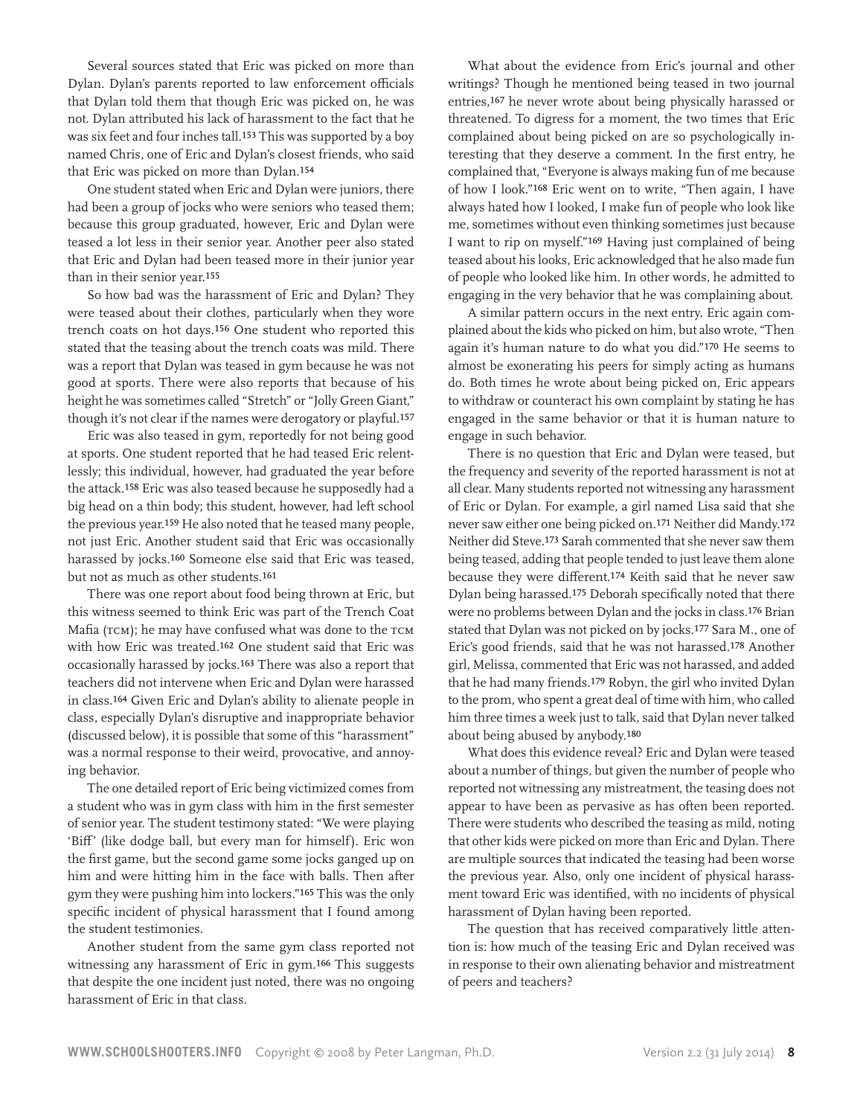Several sources stated that Eric was picked on more than Dylan. Dylan's parents reported to law enforcement officials that Dylan told them that though Eric was picked on, he was not. Dylan attributed his lack of harassment to the fact that he was six feet and four inches tall.153 This was supported by a boy named Chris, one of Eric and Dylan's closest friends, who said that Eric was picked on more than Dylan.154

One student stated when Eric and Dylan were juniors, there had been a group of jocks who were seniors who teased them; because this group graduated, however, Eric and Dylan were teased a lot less in their senior year. Another peer also stated that Eric and Dylan had been teased more in their junior year than in their senior year.155

So how bad was the harassment of Eric and Dylan? They were teased about their clothes, particularly when they wore trench coats on hot days.156 One student who reported this stated that the teasing about the trench coats was mild. There was a report that Dylan was teased in gym because he was not good at sports. There were also reports that because of his height he was sometimes called "Stretch" or "Jolly Green Giant," though it's not clear if the names were derogatory or playful.157

Eric was also teased in gym, reportedly for not being good at sports. One student reported that he had teased Eric relentlessly; this individual, however, had graduated the year before the attack.158 Eric was also teased because he supposedly had a big head on a thin body; this student, however, had left school the previous year.159 He also noted that he teased many people, not just Eric. Another student said that Eric was occasionally harassed by jocks.160 Someone else said that Eric was teased, but not as much as other students.161

There was one report about food being thrown at Eric, but this witness seemed to think Eric was part of the Trench Coat Mafia (TCM); he may have confused what was done to the TCM with how Eric was treated.162 One student said that Eric was occasionally harassed by jocks.163 There was also a report that teachers did not intervene when Eric and Dylan were harassed in class.164 Given Eric and Dylan's ability to alienate people in class, especially Dylan's disruptive and inappropriate behavior (discussed below), it is possible that some of this "harassment" was a normal response to their weird, provocative, and annoying behavior.

The one detailed report of Eric being victimized comes from a student who was in gym class with him in the first semester of senior year. The student testimony stated: "We were playing 'Biff' (like dodge ball, but every man for himself). Eric won the first game, but the second game some jocks ganged up on him and were hitting him in the face with balls. Then after gym they were pushing him into lockers."165 This was the only specific incident of physical harassment that I found among the student testimonies.

Another student from the same gym class reported not witnessing any harassment of Eric in gym.166 This suggests that despite the one incident just noted, there was no ongoing harassment of Eric in that class.

What about the evidence from Eric's journal and other writings? Though he mentioned being teased in two journal entries,167 he never wrote about being physically harassed or threatened. To digress for a moment, the two times that Eric complained about being picked on are so psychologically interesting that they deserve a comment. In the first entry, he complained that, "Everyone is always making fun of me because of how I look."168 Eric went on to write, "Then again, I have always hated how I looked, I make fun of people who look like me, sometimes without even thinking sometimes just because I want to rip on myself."169 Having just complained of being teased about his looks, Eric acknowledged that he also made fun of people who looked like him. In other words, he admitted to engaging in the very behavior that he was complaining about.

A similar pattern occurs in the next entry. Eric again complained about the kids who picked on him, but also wrote, "Then again it's human nature to do what you did."170 He seems to almost be exonerating his peers for simply acting as humans do. Both times he wrote about being picked on, Eric appears to withdraw or counteract his own complaint by stating he has engaged in the same behavior or that it is human nature to engage in such behavior.

There is no question that Eric and Dylan were teased, but the frequency and severity of the reported harassment is not at all clear. Many students reported not witnessing any harassment of Eric or Dylan. For example, a girl named Lisa said that she never saw either one being picked on.171 Neither did Mandy.172 Neither did Steve.173 Sarah commented that she never saw them being teased, adding that people tended to just leave them alone because they were different.174 Keith said that he never saw Dylan being harassed.175 Deborah specifically noted that there were no problems between Dylan and the jocks in class.176 Brian stated that Dylan was not picked on by jocks.177 Sara M., one of Eric's good friends, said that he was not harassed.178 Another girl, Melissa, commented that Eric was not harassed, and added that he had many friends.179 Robyn, the girl who invited Dylan to the prom, who spent a great deal of time with him, who called him three times a week just to talk, said that Dylan never talked about being abused by anybody.180

What does this evidence reveal? Eric and Dylan were teased about a number of things, but given the number of people who reported not witnessing any mistreatment, the teasing does not appear to have been as pervasive as has often been reported. There were students who described the teasing as mild, noting that other kids were picked on more than Eric and Dylan. There are multiple sources that indicated the teasing had been worse the previous year. Also, only one incident of physical harassment toward Eric was identified, with no incidents of physical harassment of Dylan having been reported.

The question that has received comparatively little attention is: how much of the teasing Eric and Dylan received was in response to their own alienating behavior and mistreatment of peers and teachers?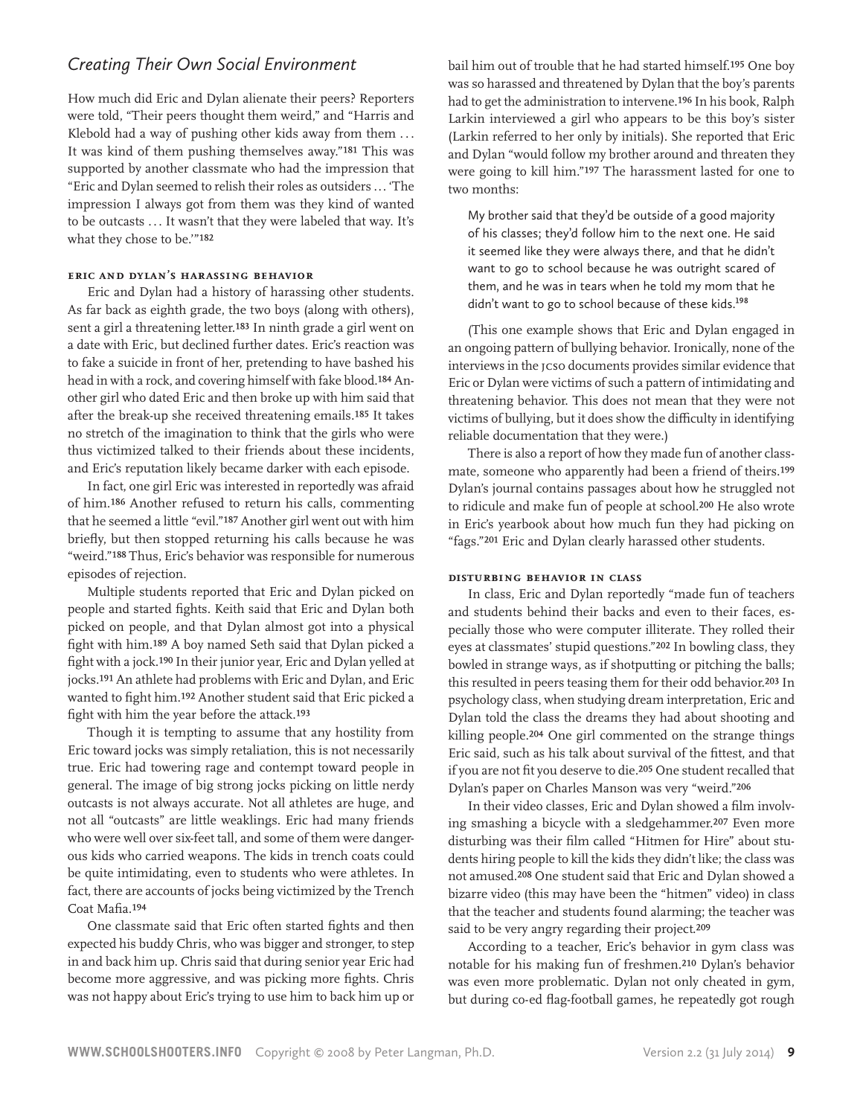### *Creating Their Own Social Environment*

How much did Eric and Dylan alienate their peers? Reporters were told, "Their peers thought them weird," and "Harris and Klebold had a way of pushing other kids away from them ... It was kind of them pushing themselves away."181 This was supported by another classmate who had the impression that "Eric and Dylan seemed to relish their roles as outsiders ... 'The impression I always got from them was they kind of wanted to be outcasts ... It wasn't that they were labeled that way. It's what they chose to be.'"182

#### **Eric and Dylan's harassing behavior**

Eric and Dylan had a history of harassing other students. As far back as eighth grade, the two boys (along with others), sent a girl a threatening letter.183 In ninth grade a girl went on a date with Eric, but declined further dates. Eric's reaction was to fake a suicide in front of her, pretending to have bashed his head in with a rock, and covering himself with fake blood.184 Another girl who dated Eric and then broke up with him said that after the break-up she received threatening emails.185 It takes no stretch of the imagination to think that the girls who were thus victimized talked to their friends about these incidents, and Eric's reputation likely became darker with each episode.

In fact, one girl Eric was interested in reportedly was afraid of him.186 Another refused to return his calls, commenting that he seemed a little "evil."187 Another girl went out with him briefly, but then stopped returning his calls because he was "weird."188 Thus, Eric's behavior was responsible for numerous episodes of rejection.

Multiple students reported that Eric and Dylan picked on people and started fights. Keith said that Eric and Dylan both picked on people, and that Dylan almost got into a physical fight with him.189 A boy named Seth said that Dylan picked a fight with a jock.190 In their junior year, Eric and Dylan yelled at jocks.191 An athlete had problems with Eric and Dylan, and Eric wanted to fight him.192 Another student said that Eric picked a fight with him the year before the attack.193

Though it is tempting to assume that any hostility from Eric toward jocks was simply retaliation, this is not necessarily true. Eric had towering rage and contempt toward people in general. The image of big strong jocks picking on little nerdy outcasts is not always accurate. Not all athletes are huge, and not all "outcasts" are little weaklings. Eric had many friends who were well over six-feet tall, and some of them were dangerous kids who carried weapons. The kids in trench coats could be quite intimidating, even to students who were athletes. In fact, there are accounts of jocks being victimized by the Trench Coat Mafia.194

One classmate said that Eric often started fights and then expected his buddy Chris, who was bigger and stronger, to step in and back him up. Chris said that during senior year Eric had become more aggressive, and was picking more fights. Chris was not happy about Eric's trying to use him to back him up or bail him out of trouble that he had started himself.195 One boy was so harassed and threatened by Dylan that the boy's parents had to get the administration to intervene.196 In his book, Ralph Larkin interviewed a girl who appears to be this boy's sister (Larkin referred to her only by initials). She reported that Eric and Dylan "would follow my brother around and threaten they were going to kill him."197 The harassment lasted for one to two months:

My brother said that they'd be outside of a good majority of his classes; they'd follow him to the next one. He said it seemed like they were always there, and that he didn't want to go to school because he was outright scared of them, and he was in tears when he told my mom that he didn't want to go to school because of these kids.<sup>198</sup>

(This one example shows that Eric and Dylan engaged in an ongoing pattern of bullying behavior. Ironically, none of the interviews in the JCSO documents provides similar evidence that Eric or Dylan were victims of such a pattern of intimidating and threatening behavior. This does not mean that they were not victims of bullying, but it does show the difficulty in identifying reliable documentation that they were.)

There is also a report of how they made fun of another classmate, someone who apparently had been a friend of theirs.199 Dylan's journal contains passages about how he struggled not to ridicule and make fun of people at school.200 He also wrote in Eric's yearbook about how much fun they had picking on "fags."201 Eric and Dylan clearly harassed other students.

#### **Disturbing behavior in class**

In class, Eric and Dylan reportedly "made fun of teachers and students behind their backs and even to their faces, especially those who were computer illiterate. They rolled their eyes at classmates' stupid questions."202 In bowling class, they bowled in strange ways, as if shotputting or pitching the balls; this resulted in peers teasing them for their odd behavior.203 In psychology class, when studying dream interpretation, Eric and Dylan told the class the dreams they had about shooting and killing people.204 One girl commented on the strange things Eric said, such as his talk about survival of the fittest, and that if you are not fit you deserve to die.205 One student recalled that Dylan's paper on Charles Manson was very "weird."206

In their video classes, Eric and Dylan showed a film involving smashing a bicycle with a sledgehammer.207 Even more disturbing was their film called "Hitmen for Hire" about students hiring people to kill the kids they didn't like; the class was not amused.208 One student said that Eric and Dylan showed a bizarre video (this may have been the "hitmen" video) in class that the teacher and students found alarming; the teacher was said to be very angry regarding their project.209

According to a teacher, Eric's behavior in gym class was notable for his making fun of freshmen.210 Dylan's behavior was even more problematic. Dylan not only cheated in gym, but during co-ed flag-football games, he repeatedly got rough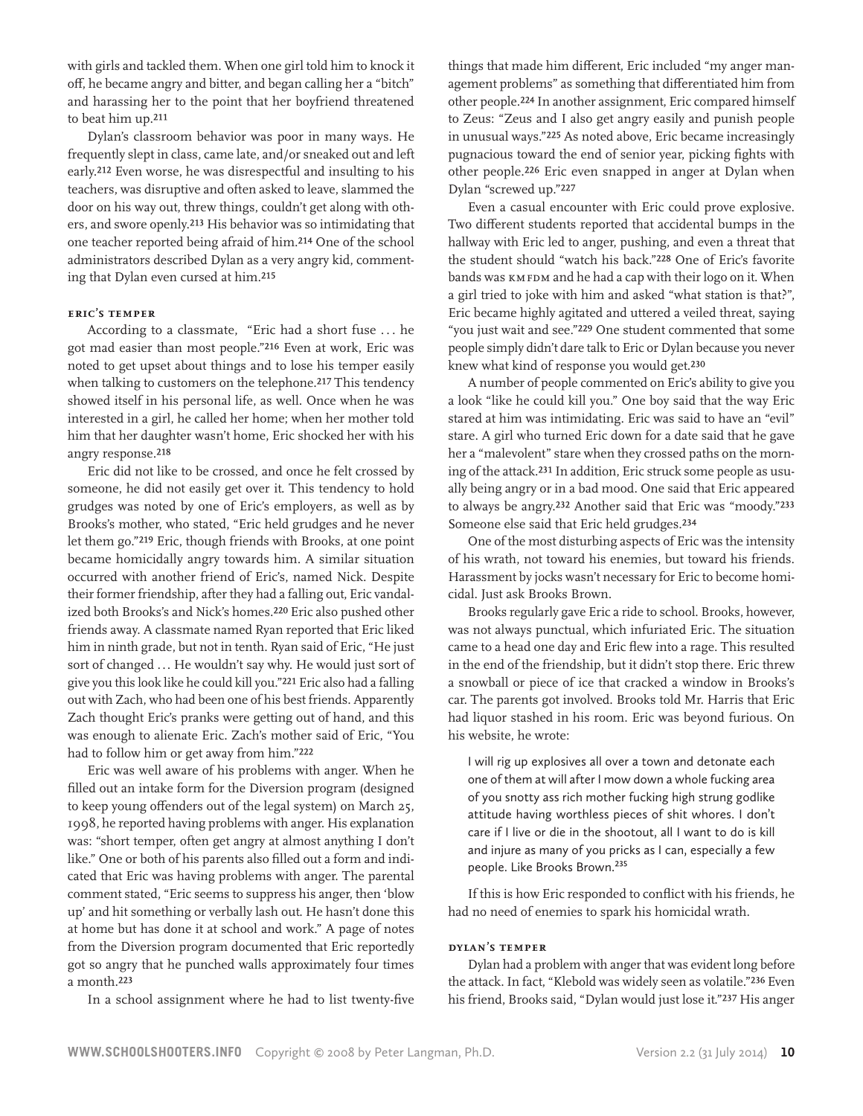with girls and tackled them. When one girl told him to knock it off, he became angry and bitter, and began calling her a "bitch" and harassing her to the point that her boyfriend threatened to beat him up.211

Dylan's classroom behavior was poor in many ways. He frequently slept in class, came late, and/or sneaked out and left early.212 Even worse, he was disrespectful and insulting to his teachers, was disruptive and often asked to leave, slammed the door on his way out, threw things, couldn't get along with others, and swore openly.213 His behavior was so intimidating that one teacher reported being afraid of him.214 One of the school administrators described Dylan as a very angry kid, commenting that Dylan even cursed at him.215

#### **Eric's temper**

According to a classmate, "Eric had a short fuse . . . he got mad easier than most people."216 Even at work, Eric was noted to get upset about things and to lose his temper easily when talking to customers on the telephone.<sup>217</sup> This tendency showed itself in his personal life, as well. Once when he was interested in a girl, he called her home; when her mother told him that her daughter wasn't home, Eric shocked her with his angry response.218

Eric did not like to be crossed, and once he felt crossed by someone, he did not easily get over it. This tendency to hold grudges was noted by one of Eric's employers, as well as by Brooks's mother, who stated, "Eric held grudges and he never let them go."219 Eric, though friends with Brooks, at one point became homicidally angry towards him. A similar situation occurred with another friend of Eric's, named Nick. Despite their former friendship, after they had a falling out, Eric vandalized both Brooks's and Nick's homes.220 Eric also pushed other friends away. A classmate named Ryan reported that Eric liked him in ninth grade, but not in tenth. Ryan said of Eric, "He just sort of changed ... He wouldn't say why. He would just sort of give you this look like he could kill you."221 Eric also had a falling out with Zach, who had been one of his best friends. Apparently Zach thought Eric's pranks were getting out of hand, and this was enough to alienate Eric. Zach's mother said of Eric, "You had to follow him or get away from him."222

Eric was well aware of his problems with anger. When he filled out an intake form for the Diversion program (designed to keep young offenders out of the legal system) on March 25, 1998, he reported having problems with anger. His explanation was: "short temper, often get angry at almost anything I don't like." One or both of his parents also filled out a form and indicated that Eric was having problems with anger. The parental comment stated, "Eric seems to suppress his anger, then 'blow up' and hit something or verbally lash out. He hasn't done this at home but has done it at school and work." A page of notes from the Diversion program documented that Eric reportedly got so angry that he punched walls approximately four times a month.223

In a school assignment where he had to list twenty-five

things that made him different, Eric included "my anger management problems" as something that differentiated him from other people.224 In another assignment, Eric compared himself to Zeus: "Zeus and I also get angry easily and punish people in unusual ways."225 As noted above, Eric became increasingly pugnacious toward the end of senior year, picking fights with other people.226 Eric even snapped in anger at Dylan when Dylan "screwed up."227

Even a casual encounter with Eric could prove explosive. Two different students reported that accidental bumps in the hallway with Eric led to anger, pushing, and even a threat that the student should "watch his back."228 One of Eric's favorite bands was KMFDM and he had a cap with their logo on it. When a girl tried to joke with him and asked "what station is that?", Eric became highly agitated and uttered a veiled threat, saying "you just wait and see."229 One student commented that some people simply didn't dare talk to Eric or Dylan because you never knew what kind of response you would get.230

A number of people commented on Eric's ability to give you a look "like he could kill you." One boy said that the way Eric stared at him was intimidating. Eric was said to have an "evil" stare. A girl who turned Eric down for a date said that he gave her a "malevolent" stare when they crossed paths on the morning of the attack.231 In addition, Eric struck some people as usually being angry or in a bad mood. One said that Eric appeared to always be angry.232 Another said that Eric was "moody."233 Someone else said that Eric held grudges.234

One of the most disturbing aspects of Eric was the intensity of his wrath, not toward his enemies, but toward his friends. Harassment by jocks wasn't necessary for Eric to become homicidal. Just ask Brooks Brown.

Brooks regularly gave Eric a ride to school. Brooks, however, was not always punctual, which infuriated Eric. The situation came to a head one day and Eric flew into a rage. This resulted in the end of the friendship, but it didn't stop there. Eric threw a snowball or piece of ice that cracked a window in Brooks's car. The parents got involved. Brooks told Mr. Harris that Eric had liquor stashed in his room. Eric was beyond furious. On his website, he wrote:

I will rig up explosives all over a town and detonate each one of them at will after I mow down a whole fucking area of you snotty ass rich mother fucking high strung godlike attitude having worthless pieces of shit whores. I don't care if I live or die in the shootout, all I want to do is kill and injure as many of you pricks as I can, especially a few people. Like Brooks Brown.<sup>235</sup>

If this is how Eric responded to conflict with his friends, he had no need of enemies to spark his homicidal wrath.

#### **Dylan's temper**

Dylan had a problem with anger that was evident long before the attack. In fact, "Klebold was widely seen as volatile."236 Even his friend, Brooks said, "Dylan would just lose it."237 His anger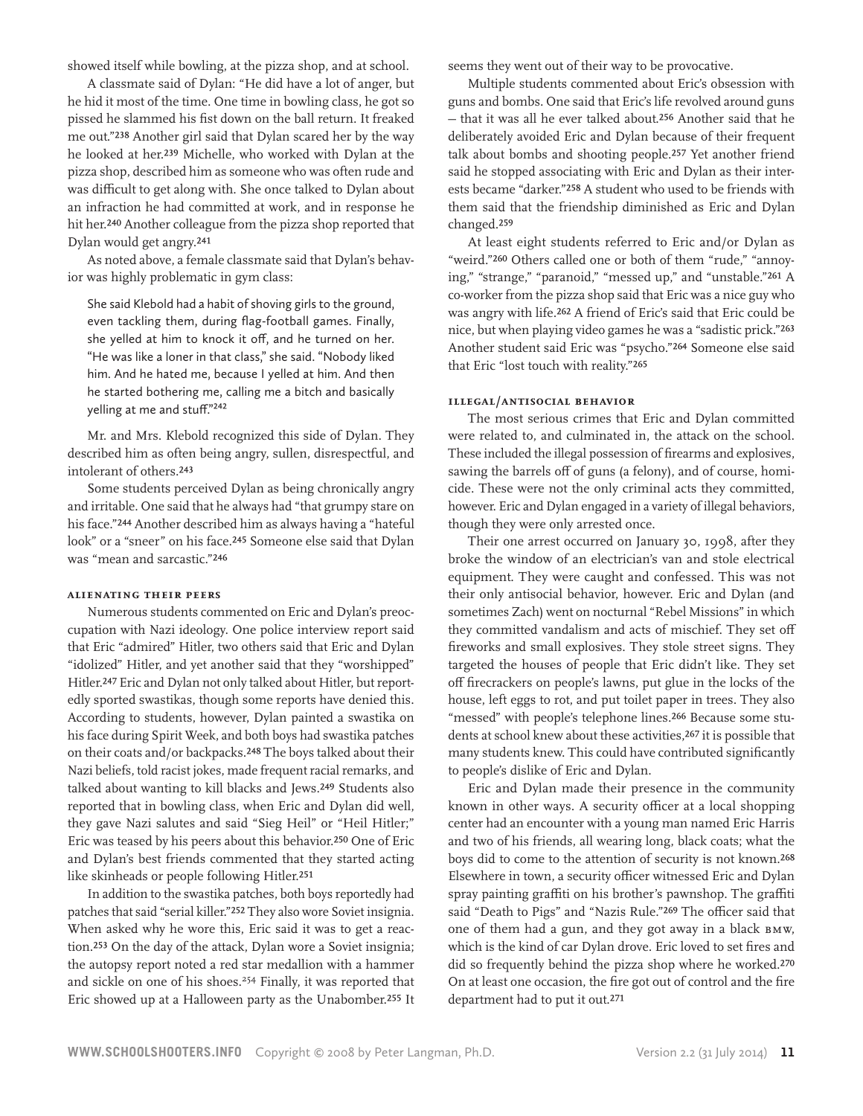showed itself while bowling, at the pizza shop, and at school.

A classmate said of Dylan: "He did have a lot of anger, but he hid it most of the time. One time in bowling class, he got so pissed he slammed his fist down on the ball return. It freaked me out."238 Another girl said that Dylan scared her by the way he looked at her.239 Michelle, who worked with Dylan at the pizza shop, described him as someone who was often rude and was difficult to get along with. She once talked to Dylan about an infraction he had committed at work, and in response he hit her.240 Another colleague from the pizza shop reported that Dylan would get angry.241

As noted above, a female classmate said that Dylan's behavior was highly problematic in gym class:

She said Klebold had a habit of shoving girls to the ground, even tackling them, during flag-football games. Finally, she yelled at him to knock it off, and he turned on her. "He was like a loner in that class," she said. "Nobody liked him. And he hated me, because I yelled at him. And then he started bothering me, calling me a bitch and basically yelling at me and stuff."242

Mr. and Mrs. Klebold recognized this side of Dylan. They described him as often being angry, sullen, disrespectful, and intolerant of others.243

Some students perceived Dylan as being chronically angry and irritable. One said that he always had "that grumpy stare on his face."244 Another described him as always having a "hateful look" or a "sneer" on his face.245 Someone else said that Dylan was "mean and sarcastic."246

#### **Alienating their peers**

Numerous students commented on Eric and Dylan's preoccupation with Nazi ideology. One police interview report said that Eric "admired" Hitler, two others said that Eric and Dylan "idolized" Hitler, and yet another said that they "worshipped" Hitler.247 Eric and Dylan not only talked about Hitler, but reportedly sported swastikas, though some reports have denied this. According to students, however, Dylan painted a swastika on his face during Spirit Week, and both boys had swastika patches on their coats and/or backpacks.248 The boys talked about their Nazi beliefs, told racist jokes, made frequent racial remarks, and talked about wanting to kill blacks and Jews.249 Students also reported that in bowling class, when Eric and Dylan did well, they gave Nazi salutes and said "Sieg Heil" or "Heil Hitler;" Eric was teased by his peers about this behavior.250 One of Eric and Dylan's best friends commented that they started acting like skinheads or people following Hitler.251

In addition to the swastika patches, both boys reportedly had patches that said "serial killer."252 They also wore Soviet insignia. When asked why he wore this, Eric said it was to get a reaction.253 On the day of the attack, Dylan wore a Soviet insignia; the autopsy report noted a red star medallion with a hammer and sickle on one of his shoes.<sup>254</sup> Finally, it was reported that Eric showed up at a Halloween party as the Unabomber.255 It seems they went out of their way to be provocative.

Multiple students commented about Eric's obsession with guns and bombs. One said that Eric's life revolved around guns — that it was all he ever talked about.256 Another said that he deliberately avoided Eric and Dylan because of their frequent talk about bombs and shooting people.257 Yet another friend said he stopped associating with Eric and Dylan as their interests became "darker."258 A student who used to be friends with them said that the friendship diminished as Eric and Dylan changed.259

At least eight students referred to Eric and/or Dylan as "weird."260 Others called one or both of them "rude," "annoying," "strange," "paranoid," "messed up," and "unstable."261 A co-worker from the pizza shop said that Eric was a nice guy who was angry with life.262 A friend of Eric's said that Eric could be nice, but when playing video games he was a "sadistic prick."263 Another student said Eric was "psycho."264 Someone else said that Eric "lost touch with reality."265

#### **Illegal/antisocial behavior**

The most serious crimes that Eric and Dylan committed were related to, and culminated in, the attack on the school. These included the illegal possession of firearms and explosives, sawing the barrels off of guns (a felony), and of course, homicide. These were not the only criminal acts they committed, however. Eric and Dylan engaged in a variety of illegal behaviors, though they were only arrested once.

Their one arrest occurred on January 30, 1998, after they broke the window of an electrician's van and stole electrical equipment. They were caught and confessed. This was not their only antisocial behavior, however. Eric and Dylan (and sometimes Zach) went on nocturnal "Rebel Missions" in which they committed vandalism and acts of mischief. They set off fireworks and small explosives. They stole street signs. They targeted the houses of people that Eric didn't like. They set off firecrackers on people's lawns, put glue in the locks of the house, left eggs to rot, and put toilet paper in trees. They also "messed" with people's telephone lines.266 Because some students at school knew about these activities, 267 it is possible that many students knew. This could have contributed significantly to people's dislike of Eric and Dylan.

Eric and Dylan made their presence in the community known in other ways. A security officer at a local shopping center had an encounter with a young man named Eric Harris and two of his friends, all wearing long, black coats; what the boys did to come to the attention of security is not known.268 Elsewhere in town, a security officer witnessed Eric and Dylan spray painting graffiti on his brother's pawnshop. The graffiti said "Death to Pigs" and "Nazis Rule."269 The officer said that one of them had a gun, and they got away in a black BMW, which is the kind of car Dylan drove. Eric loved to set fires and did so frequently behind the pizza shop where he worked.270 On at least one occasion, the fire got out of control and the fire department had to put it out.271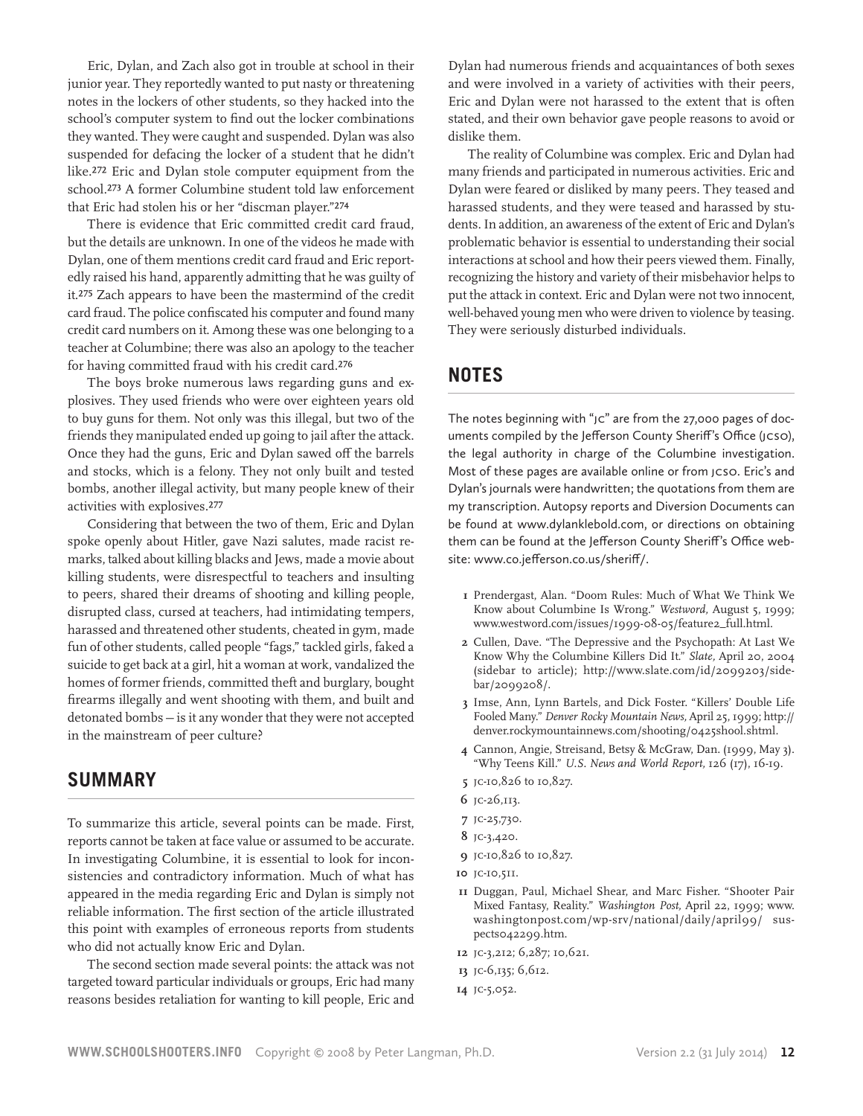Eric, Dylan, and Zach also got in trouble at school in their junior year. They reportedly wanted to put nasty or threatening notes in the lockers of other students, so they hacked into the school's computer system to find out the locker combinations they wanted. They were caught and suspended. Dylan was also suspended for defacing the locker of a student that he didn't like.272 Eric and Dylan stole computer equipment from the school.273 A former Columbine student told law enforcement that Eric had stolen his or her "discman player."274

There is evidence that Eric committed credit card fraud, but the details are unknown. In one of the videos he made with Dylan, one of them mentions credit card fraud and Eric reportedly raised his hand, apparently admitting that he was guilty of it.275 Zach appears to have been the mastermind of the credit card fraud. The police confiscated his computer and found many credit card numbers on it. Among these was one belonging to a teacher at Columbine; there was also an apology to the teacher for having committed fraud with his credit card.276

The boys broke numerous laws regarding guns and explosives. They used friends who were over eighteen years old to buy guns for them. Not only was this illegal, but two of the friends they manipulated ended up going to jail after the attack. Once they had the guns, Eric and Dylan sawed off the barrels and stocks, which is a felony. They not only built and tested bombs, another illegal activity, but many people knew of their activities with explosives.277

Considering that between the two of them, Eric and Dylan spoke openly about Hitler, gave Nazi salutes, made racist remarks, talked about killing blacks and Jews, made a movie about killing students, were disrespectful to teachers and insulting to peers, shared their dreams of shooting and killing people, disrupted class, cursed at teachers, had intimidating tempers, harassed and threatened other students, cheated in gym, made fun of other students, called people "fags," tackled girls, faked a suicide to get back at a girl, hit a woman at work, vandalized the homes of former friends, committed theft and burglary, bought firearms illegally and went shooting with them, and built and detonated bombs — is it any wonder that they were not accepted in the mainstream of peer culture?

# **Summary**

To summarize this article, several points can be made. First, reports cannot be taken at face value or assumed to be accurate. In investigating Columbine, it is essential to look for inconsistencies and contradictory information. Much of what has appeared in the media regarding Eric and Dylan is simply not reliable information. The first section of the article illustrated this point with examples of erroneous reports from students who did not actually know Eric and Dylan.

The second section made several points: the attack was not targeted toward particular individuals or groups, Eric had many reasons besides retaliation for wanting to kill people, Eric and

Dylan had numerous friends and acquaintances of both sexes and were involved in a variety of activities with their peers, Eric and Dylan were not harassed to the extent that is often stated, and their own behavior gave people reasons to avoid or dislike them.

The reality of Columbine was complex. Eric and Dylan had many friends and participated in numerous activities. Eric and Dylan were feared or disliked by many peers. They teased and harassed students, and they were teased and harassed by students. In addition, an awareness of the extent of Eric and Dylan's problematic behavior is essential to understanding their social interactions at school and how their peers viewed them. Finally, recognizing the history and variety of their misbehavior helps to put the attack in context. Eric and Dylan were not two innocent, well-behaved young men who were driven to violence by teasing. They were seriously disturbed individuals.

# **Notes**

The notes beginning with "JC" are from the 27,000 pages of documents compiled by the Jefferson County Sheriff's Office (JCSO), the legal authority in charge of the Columbine investigation. Most of these pages are available online or from JCSO. Eric's and Dylan's journals were handwritten; the quotations from them are my transcription. Autopsy reports and Diversion Documents can be found at www.dylanklebold.com, or directions on obtaining them can be found at the Jefferson County Sheriff's Office website: www.co.jefferson.co.us/sheriff/.

- **1** Prendergast, Alan. "Doom Rules: Much of What We Think We Know about Columbine Is Wrong." *Westword,* August 5, 1999; www.westword.com/issues/1999-08-05/feature2\_full.html.
- **2** Cullen, Dave. "The Depressive and the Psychopath: At Last We Know Why the Columbine Killers Did It." *Slate,* April 20, 2004 (sidebar to article); http://www.slate.com/id/2099203/sidebar/2099208/.
- **3** Imse, Ann, Lynn Bartels, and Dick Foster. "Killers' Double Life Fooled Many." *Denver Rocky Mountain News,* April 25, 1999; http:// denver.rockymountainnews.com/shooting/0425shool.shtml.
- **4** Cannon, Angie, Streisand, Betsy & McGraw, Dan. (1999, May 3). "Why Teens Kill." *U.S. News and World Report,* 126 (17), 16-19.
- **5** JC-10,826 to 10,827.
- **6** JC-26,113.
- **7** JC-25,730.
- **8** JC-3,420.
- **9** JC-10,826 to 10,827.
- **10** JC-10,511.
- **11** Duggan, Paul, Michael Shear, and Marc Fisher. "Shooter Pair Mixed Fantasy, Reality." *Washington Post,* April 22, 1999; www. washingtonpost.com/wp-srv/national/daily/april99/ suspects042299.htm.
- **12** JC-3,212; 6,287; 10,621.
- **13** JC-6,135; 6,612.
- **14** JC-5,052.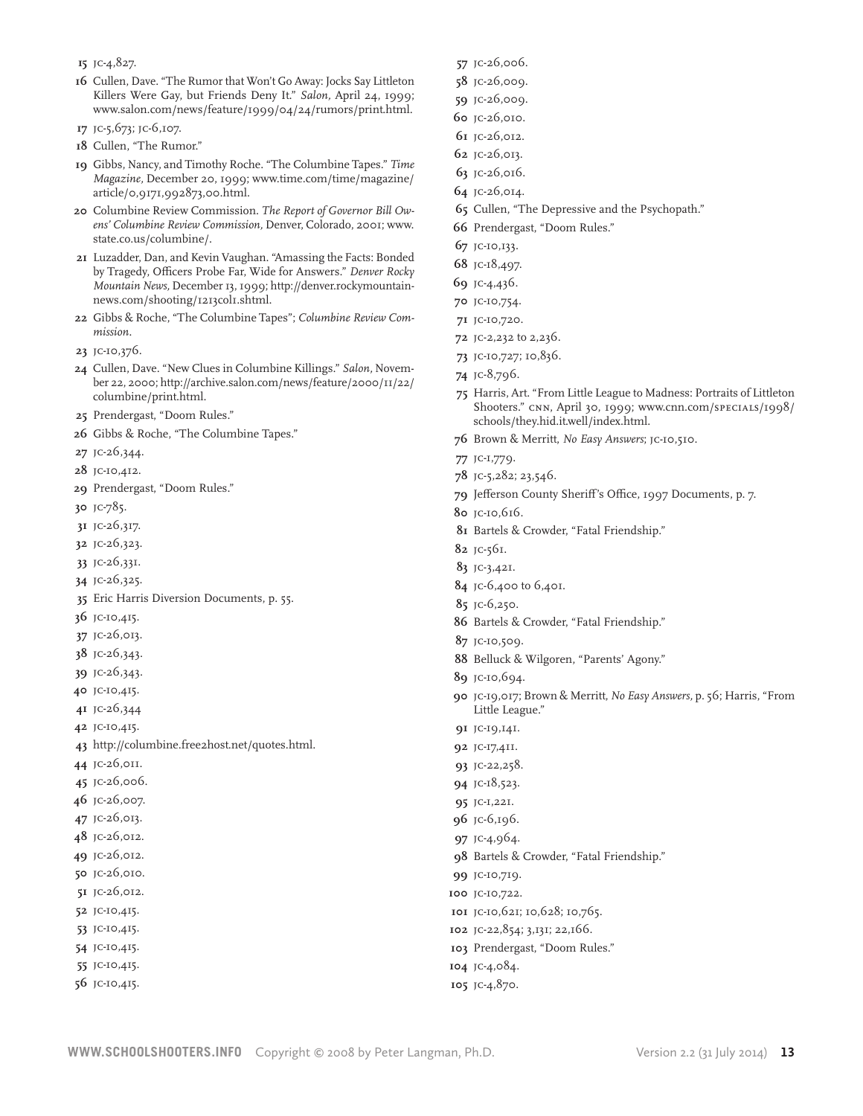- JC-4,827.
- Cullen, Dave. "The Rumor that Won't Go Away: Jocks Say Littleton Killers Were Gay, but Friends Deny It." *Salon,* April 24, 1999; www.salon.com/news/feature/1999/04/24/rumors/print.html.
- JC-5,673; JC-6,107.
- Cullen, "The Rumor."
- Gibbs, Nancy, and Timothy Roche. "The Columbine Tapes." *Time Magazine,* December 20, 1999; www.time.com/time/magazine/ article/0,9171,992873,00.html.
- Columbine Review Commission. *The Report of Governor Bill Owens' Columbine Review Commission,* Denver, Colorado, 2001; www. state.co.us/columbine/.
- Luzadder, Dan, and Kevin Vaughan. "Amassing the Facts: Bonded by Tragedy, Officers Probe Far, Wide for Answers." *Denver Rocky Mountain News,* December 13, 1999; http://denver.rockymountainnews.com/shooting/1213col1.shtml.
- Gibbs & Roche, "The Columbine Tapes"; *Columbine Review Commission.*
- JC-10,376.
- Cullen, Dave. "New Clues in Columbine Killings." *Salon,* November 22, 2000; http://archive.salon.com/news/feature/2000/11/22/ columbine/print.html.
- Prendergast, "Doom Rules."
- Gibbs & Roche, "The Columbine Tapes."
- JC-26,344.
- JC-10,412.
- Prendergast, "Doom Rules."
- JC-785.
- JC-26,317.
- JC-26,323.
- JC-26,331.
- JC-26,325.
- Eric Harris Diversion Documents, p. 55.
- JC-10,415.
- JC-26,013.
- JC-26,343.
- JC-26,343.
- JC-10,415.
- JC-26,344
- JC-10,415.
- http://columbine.free2host.net/quotes.html.
- JC-26,011.
- JC-26,006.
- JC-26,007.
- JC-26,013.
- JC-26,012.
- JC-26,012.
- JC-26,010.
- JC-26,012.
- JC-10,415.
- JC-10,415.
- JC-10,415.
- JC-10,415.
- JC-10,415.
- JC-26,006.
- JC-26,009.
- JC-26,009.
- JC-26,010.
- JC-26,012.
- JC-26,013.
- JC-26,016.
- JC-26,014.
- Cullen, "The Depressive and the Psychopath."
- Prendergast, "Doom Rules."
- JC-10,133.
- JC-18,497.
- JC-4,436.
- JC-10,754.
- JC-10,720.
- JC-2,232 to 2,236.
- JC-10,727; 10,836.
- JC-8,796.
- Harris, Art. "From Little League to Madness: Portraits of Littleton Shooters." CNN, April 30, 1999; www.cnn.com/SPECIALS/1998/ schools/they.hid.it.well/index.html.
- Brown & Merritt, *No Easy Answers*; JC-10,510.
- JC-1,779.
- JC-5,282; 23,546.
- Jefferson County Sheriff's Office, 1997 Documents, p. 7.
- JC-10,616.
- Bartels & Crowder, "Fatal Friendship."
- JC-561.
- JC-3,421.
- JC-6,400 to 6,401.
- JC-6,250.
- Bartels & Crowder, "Fatal Friendship."
- JC-10,509.
- Belluck & Wilgoren, "Parents' Agony."
- JC-10,694.
- JC-19,017; Brown & Merritt, *No Easy Answers,* p. 56; Harris, "From Little League."
- JC-19,141.
- JC-17,411.
- JC-22,258.
- JC-18,523.
- JC-1,221.
- JC-6,196.
- JC-4,964.
- Bartels & Crowder, "Fatal Friendship."
- JC-10,719.
- JC-10,722.
- JC-10,621; 10,628; 10,765.
- JC-22,854; 3,131; 22,166.
- Prendergast, "Doom Rules."
- JC-4,084.
- JC-4,870.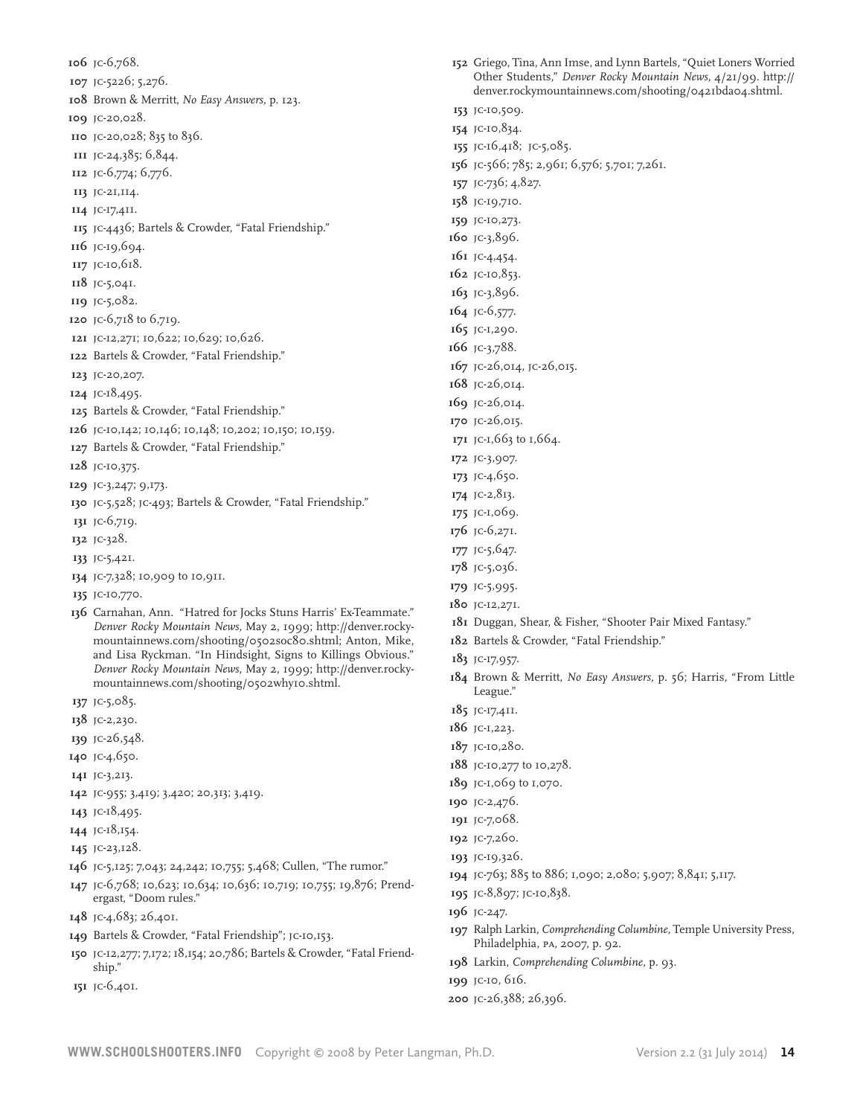JC-6,768. JC-5226; 5,276. Brown & Merritt, *No Easy Answers,* p. 123. JC-20,028. JC-20,028; 835 to 836. JC-24,385; 6,844. JC-6,774; 6,776. JC-21,114. JC-17,411. JC-4436; Bartels & Crowder, "Fatal Friendship." JC-19,694. JC-10,618. JC-5,041. JC-5,082. JC-6,718 to 6,719. JC-12,271; 10,622; 10,629; 10,626. Bartels & Crowder, "Fatal Friendship." JC-20,207. JC-18,495. Bartels & Crowder, "Fatal Friendship."

- 
- JC-10,142; 10,146; 10,148; 10,202; 10,150; 10,159.
- Bartels & Crowder, "Fatal Friendship."
- JC-10,375.
- JC-3,247; 9,173.
- JC-5,528; JC-493; Bartels & Crowder, "Fatal Friendship."
- JC-6,719.
- JC-328.
- JC-5,421.
- JC-7,328; 10,909 to 10,911.
- JC-10,770.
- Carnahan, Ann. "Hatred for Jocks Stuns Harris' Ex-Teammate." *Denver Rocky Mountain News,* May 2, 1999; http://denver.rockymountainnews.com/shooting/0502soc80.shtml; Anton, Mike, and Lisa Ryckman. "In Hindsight, Signs to Killings Obvious." *Denver Rocky Mountain News,* May 2, 1999; http://denver.rockymountainnews.com/shooting/0502why10.shtml.
- JC-5,085.
- JC-2,230.
- JC-26,548.
- JC-4,650.
- JC-3,213.
- JC-955; 3,419; 3,420; 20,313; 3,419.
- JC-18,495.
- JC-18,154.
- JC-23,128.
- JC-5,125; 7,043; 24,242; 10,755; 5,468; Cullen, "The rumor."
- JC-6,768; 10,623; 10,634; 10,636; 10,719; 10,755; 19,876; Prendergast, "Doom rules."
- JC-4,683; 26,401.
- Bartels & Crowder, "Fatal Friendship"; JC-10,153.
- JC-12,277; 7,172; 18,154; 20,786; Bartels & Crowder, "Fatal Friendship."
- JC-6,401.
- Griego, Tina, Ann Imse, and Lynn Bartels, "Quiet Loners Worried Other Students," *Denver Rocky Mountain News,* 4/21/99. http:// denver.rockymountainnews.com/shooting/0421bda04.shtml.
- JC-10,509. JC-10,834.
- JC-16,418; JC-5,085.
- JC-566; 785; 2,961; 6,576; 5,701; 7,261.
- JC-736; 4,827.
- JC-19,710.
- JC-10,273.
- JC-3,896.
- JC-4,454.
- JC-10,853.
- JC-3,896.
- JC-6,577.
- JC-1,290.
- JC-3,788.
- JC-26,014, JC-26,015.
- JC-26,014.
- JC-26,014.
- JC-26,015.
- JC-1,663 to 1,664.
- JC-3,907.
- JC-4,650.
- JC-2,813.
- JC-1,069.
- JC-6,271.
- JC-5,647.
- JC-5,036.
- JC-5,995.
- JC-12,271.
- Duggan, Shear, & Fisher, "Shooter Pair Mixed Fantasy."
- Bartels & Crowder, "Fatal Friendship."
- JC-17,957.
- Brown & Merritt, *No Easy Answers,* p. 56; Harris, "From Little League."
- JC-17,411.
- JC-1,223.
- JC-10,280.
- JC-10,277 to 10,278.
- JC-1,069 to 1,070.
- JC-2,476.
- JC-7,068.
- JC-7,260.
- JC-19,326.
- JC-763; 885 to 886; 1,090; 2,080; 5,907; 8,841; 5,117.
- JC-8,897; JC-10,838.
- JC-247.
- Ralph Larkin, *Comprehending Columbine,* Temple University Press, Philadelphia, PA, 2007, p. 92.
- Larkin, *Comprehending Columbine,* p. 93.
- JC-10, 616.
- JC-26,388; 26,396.